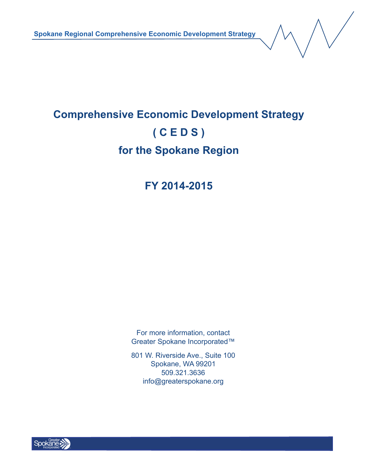**Spokane Regional Comprehensive Economic Development Strategy**

# **Comprehensive Economic Development Strategy ( C E D S ) for the Spokane Region**

## **FY 2014-2015**

For more information, contact Greater Spokane Incorporated™

801 W. Riverside Ave., Suite 100 Spokane, WA 99201 509.321.3636 info@greaterspokane.org

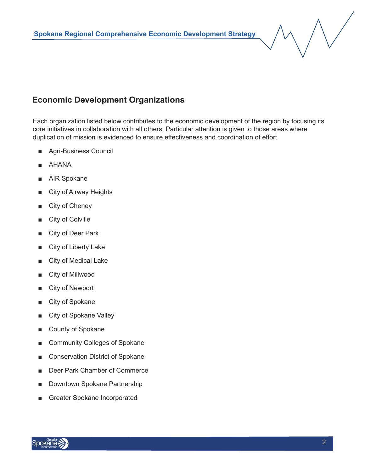## **Economic Development Organizations**

Each organization listed below contributes to the economic development of the region by focusing its core initiatives in collaboration with all others. Particular attention is given to those areas where duplication of mission is evidenced to ensure effectiveness and coordination of effort.

- Agri-Business Council
- AHANA
- AIR Spokane
- City of Airway Heights
- City of Cheney
- City of Colville
- City of Deer Park
- City of Liberty Lake
- City of Medical Lake
- City of Millwood
- City of Newport
- City of Spokane
- City of Spokane Valley
- County of Spokane
- Community Colleges of Spokane
- Conservation District of Spokane
- Deer Park Chamber of Commerce
- Downtown Spokane Partnership
- Greater Spokane Incorporated

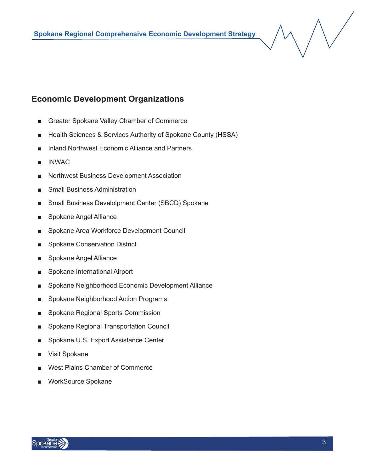## **Economic Development Organizations**

- Greater Spokane Valley Chamber of Commerce
- Health Sciences & Services Authority of Spokane County (HSSA)
- Inland Northwest Economic Alliance and Partners
- **INWAC**
- Northwest Business Development Association
- Small Business Administration
- Small Business Develolpment Center (SBCD) Spokane
- Spokane Angel Alliance
- Spokane Area Workforce Development Council
- Spokane Conservation District
- Spokane Angel Alliance
- Spokane International Airport
- Spokane Neighborhood Economic Development Alliance
- Spokane Neighborhood Action Programs
- Spokane Regional Sports Commission
- Spokane Regional Transportation Council
- Spokane U.S. Export Assistance Center
- Visit Spokane
- West Plains Chamber of Commerce
- WorkSource Spokane

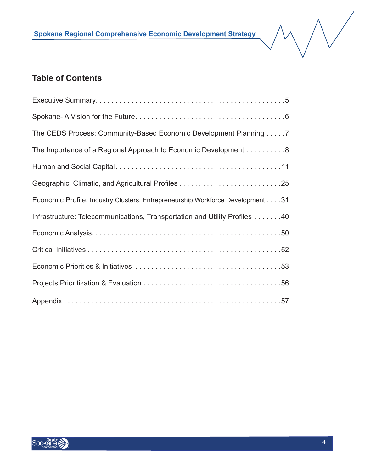## **Table of Contents**

| The CEDS Process: Community-Based Economic Development Planning 7               |
|---------------------------------------------------------------------------------|
| The Importance of a Regional Approach to Economic Development 8                 |
|                                                                                 |
|                                                                                 |
| Economic Profile: Industry Clusters, Entrepreneurship, Workforce Development 31 |
| Infrastructure: Telecommunications, Transportation and Utility Profiles 40      |
|                                                                                 |
|                                                                                 |
|                                                                                 |
|                                                                                 |
|                                                                                 |



 $\bigvee$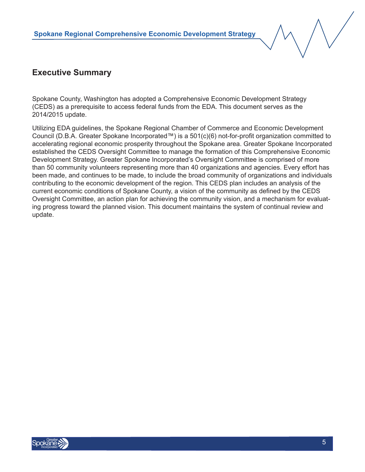

#### **Executive Summary**

Spokane County, Washington has adopted a Comprehensive Economic Development Strategy (CEDS) as a prerequisite to access federal funds from the EDA. This document serves as the 2014/2015 update.

Utilizing EDA guidelines, the Spokane Regional Chamber of Commerce and Economic Development Council (D.B.A. Greater Spokane Incorporated™) is a 501(c)(6) not-for-profit organization committed to accelerating regional economic prosperity throughout the Spokane area. Greater Spokane Incorporated established the CEDS Oversight Committee to manage the formation of this Comprehensive Economic Development Strategy. Greater Spokane Incorporated's Oversight Committee is comprised of more than 50 community volunteers representing more than 40 organizations and agencies. Every effort has been made, and continues to be made, to include the broad community of organizations and individuals contributing to the economic development of the region. This CEDS plan includes an analysis of the current economic conditions of Spokane County, a vision of the community as defined by the CEDS Oversight Committee, an action plan for achieving the community vision, and a mechanism for evaluating progress toward the planned vision. This document maintains the system of continual review and update.

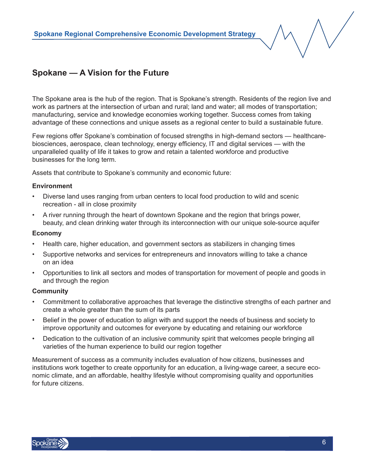## **Spokane — A Vision for the Future**

The Spokane area is the hub of the region. That is Spokane's strength. Residents of the region live and work as partners at the intersection of urban and rural; land and water; all modes of transportation; manufacturing, service and knowledge economies working together. Success comes from taking advantage of these connections and unique assets as a regional center to build a sustainable future.

Few regions offer Spokane's combination of focused strengths in high-demand sectors — healthcarebiosciences, aerospace, clean technology, energy efficiency, IT and digital services — with the unparalleled quality of life it takes to grow and retain a talented workforce and productive businesses for the long term.

Assets that contribute to Spokane's community and economic future:

#### **Environment**

- Diverse land uses ranging from urban centers to local food production to wild and scenic recreation - all in close proximity
- A river running through the heart of downtown Spokane and the region that brings power, beauty, and clean drinking water through its interconnection with our unique sole-source aquifer

#### **Economy**

- Health care, higher education, and government sectors as stabilizers in changing times
- Supportive networks and services for entrepreneurs and innovators willing to take a chance on an idea
- Opportunities to link all sectors and modes of transportation for movement of people and goods in and through the region

#### **Community**

- Commitment to collaborative approaches that leverage the distinctive strengths of each partner and create a whole greater than the sum of its parts
- Belief in the power of education to align with and support the needs of business and society to improve opportunity and outcomes for everyone by educating and retaining our workforce
- Dedication to the cultivation of an inclusive community spirit that welcomes people bringing all varieties of the human experience to build our region together

Measurement of success as a community includes evaluation of how citizens, businesses and institutions work together to create opportunity for an education, a living-wage career, a secure economic climate, and an affordable, healthy lifestyle without compromising quality and opportunities for future citizens.

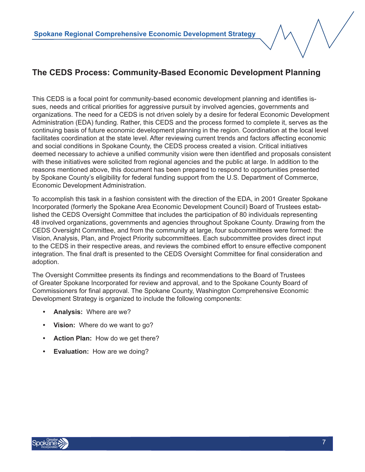## **The CEDS Process: Community-Based Economic Development Planning**

This CEDS is a focal point for community-based economic development planning and identifies issues, needs and critical priorities for aggressive pursuit by involved agencies, governments and organizations. The need for a CEDS is not driven solely by a desire for federal Economic Development Administration (EDA) funding. Rather, this CEDS and the process formed to complete it, serves as the continuing basis of future economic development planning in the region. Coordination at the local level facilitates coordination at the state level. After reviewing current trends and factors affecting economic and social conditions in Spokane County, the CEDS process created a vision. Critical initiatives deemed necessary to achieve a unified community vision were then identified and proposals consistent with these initiatives were solicited from regional agencies and the public at large. In addition to the reasons mentioned above, this document has been prepared to respond to opportunities presented by Spokane County's eligibility for federal funding support from the U.S. Department of Commerce, Economic Development Administration.

To accomplish this task in a fashion consistent with the direction of the EDA, in 2001 Greater Spokane Incorporated (formerly the Spokane Area Economic Development Council) Board of Trustees established the CEDS Oversight Committee that includes the participation of 80 individuals representing 48 involved organizations, governments and agencies throughout Spokane County. Drawing from the CEDS Oversight Committee, and from the community at large, four subcommittees were formed: the Vision, Analysis, Plan, and Project Priority subcommittees. Each subcommittee provides direct input to the CEDS in their respective areas, and reviews the combined effort to ensure effective component integration. The final draft is presented to the CEDS Oversight Committee for final consideration and adoption.

The Oversight Committee presents its findings and recommendations to the Board of Trustees of Greater Spokane Incorporated for review and approval, and to the Spokane County Board of Commissioners for final approval. The Spokane County, Washington Comprehensive Economic Development Strategy is organized to include the following components:

- **• Analysis:** Where are we?
- **• Vision:** Where do we want to go?
- **• Action Plan:** How do we get there?
- **• Evaluation:** How are we doing?

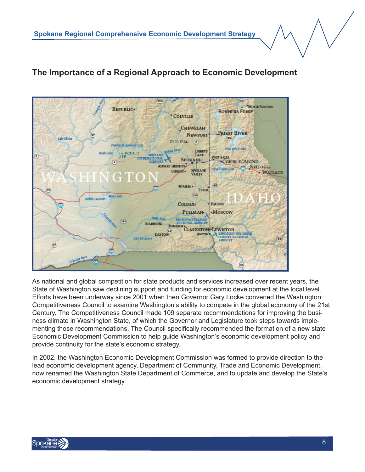#### 390 35 MOVIE SPRINGS REPUBLIC. **BONNERS FERRY COLVILLE** CHEWELAH **PRIEST RIVER NEWPORT** Lake Christ  $(95)$ **Deer Park**  $\begin{array}{c} \boxed{2} \end{array}$ Franklin D. Rastroell Lale Pend Oreffe Leke LIBERTY **Banks Loke Fairchild AFB** LAKE POST FALIS SPOKANE  $\left( 2\right)$ COEUR D'ALENE AIRWAY HEIGHTS KELLOGG **SPOKANE** CHENEY . **WALLACE VALLEY** 96 **ROSALIA -**TEROA  $660$ **Publisher Re** COLFAX<sup>4</sup> PALOUSE PULLMAN<sup>®</sup> **Moscow STARBUCK RECIONAL AIRPORT**<br>CLARKSTON:<br>ASOTIN **LEWISTON** LEWISTON NEZ PERC<br>COUNTY REGIONAL **DAYTON ASOTIN AIRPORT** 85

## **The Importance of a Regional Approach to Economic Development**

As national and global competition for state products and services increased over recent years, the State of Washington saw declining support and funding for economic development at the local level. Efforts have been underway since 2001 when then Governor Gary Locke convened the Washington Competitiveness Council to examine Washington's ability to compete in the global economy of the 21st Century. The Competitiveness Council made 109 separate recommendations for improving the business climate in Washington State, of which the Governor and Legislature took steps towards implementing those recommendations. The Council specifically recommended the formation of a new state Economic Development Commission to help guide Washington's economic development policy and provide continuity for the state's economic strategy.

In 2002, the Washington Economic Development Commission was formed to provide direction to the lead economic development agency, Department of Community, Trade and Economic Development, now renamed the Washington State Department of Commerce, and to update and develop the State's economic development strategy.

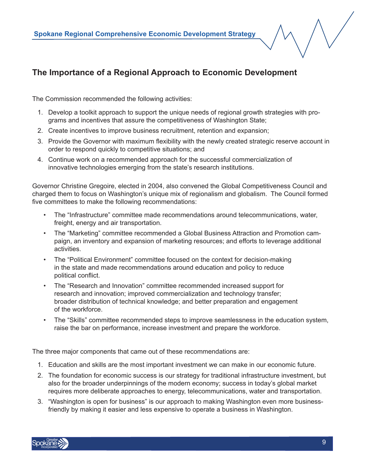## **The Importance of a Regional Approach to Economic Development**

The Commission recommended the following activities:

- 1. Develop a toolkit approach to support the unique needs of regional growth strategies with programs and incentives that assure the competitiveness of Washington State;
- 2. Create incentives to improve business recruitment, retention and expansion;
- 3. Provide the Governor with maximum flexibility with the newly created strategic reserve account in order to respond quickly to competitive situations; and
- 4. Continue work on a recommended approach for the successful commercialization of innovative technologies emerging from the state's research institutions.

Governor Christine Gregoire, elected in 2004, also convened the Global Competitiveness Council and charged them to focus on Washington's unique mix of regionalism and globalism. The Council formed five committees to make the following recommendations:

- The "Infrastructure" committee made recommendations around telecommunications, water, freight, energy and air transportation.
- The "Marketing" committee recommended a Global Business Attraction and Promotion campaign, an inventory and expansion of marketing resources; and efforts to leverage additional activities.
- The "Political Environment" committee focused on the context for decision-making in the state and made recommendations around education and policy to reduce political conflict.
- The "Research and Innovation" committee recommended increased support for research and innovation; improved commercialization and technology transfer; broader distribution of technical knowledge; and better preparation and engagement of the workforce.
- The "Skills" committee recommended steps to improve seamlessness in the education system, raise the bar on performance, increase investment and prepare the workforce.

The three major components that came out of these recommendations are:

- 1. Education and skills are the most important investment we can make in our economic future.
- 2. The foundation for economic success is our strategy for traditional infrastructure investment, but also for the broader underpinnings of the modern economy; success in today's global market requires more deliberate approaches to energy, telecommunications, water and transportation.
- 3. "Washington is open for business" is our approach to making Washington even more businessfriendly by making it easier and less expensive to operate a business in Washington.

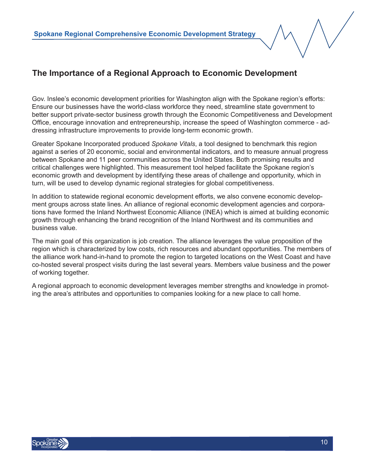## **The Importance of a Regional Approach to Economic Development**

Gov. Inslee's economic development priorities for Washington align with the Spokane region's efforts: Ensure our businesses have the world-class workforce they need, streamline state government to better support private-sector business growth through the Economic Competitiveness and Development Office, encourage innovation and entrepreneurship, increase the speed of Washington commerce - addressing infrastructure improvements to provide long-term economic growth.

Greater Spokane Incorporated produced *Spokane Vitals*, a tool designed to benchmark this region against a series of 20 economic, social and environmental indicators, and to measure annual progress between Spokane and 11 peer communities across the United States. Both promising results and critical challenges were highlighted. This measurement tool helped facilitate the Spokane region's economic growth and development by identifying these areas of challenge and opportunity, which in turn, will be used to develop dynamic regional strategies for global competitiveness.

In addition to statewide regional economic development efforts, we also convene economic development groups across state lines. An alliance of regional economic development agencies and corporations have formed the Inland Northwest Economic Alliance (INEA) which is aimed at building economic growth through enhancing the brand recognition of the Inland Northwest and its communities and business value.

The main goal of this organization is job creation. The alliance leverages the value proposition of the region which is characterized by low costs, rich resources and abundant opportunities. The members of the alliance work hand-in-hand to promote the region to targeted locations on the West Coast and have co-hosted several prospect visits during the last several years. Members value business and the power of working together.

A regional approach to economic development leverages member strengths and knowledge in promoting the area's attributes and opportunities to companies looking for a new place to call home.

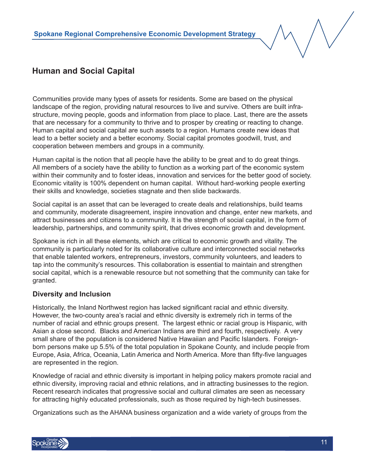

Communities provide many types of assets for residents. Some are based on the physical landscape of the region, providing natural resources to live and survive. Others are built infrastructure, moving people, goods and information from place to place. Last, there are the assets that are necessary for a community to thrive and to prosper by creating or reacting to change. Human capital and social capital are such assets to a region. Humans create new ideas that lead to a better society and a better economy. Social capital promotes goodwill, trust, and cooperation between members and groups in a community.

Human capital is the notion that all people have the ability to be great and to do great things. All members of a society have the ability to function as a working part of the economic system within their community and to foster ideas, innovation and services for the better good of society. Economic vitality is 100% dependent on human capital. Without hard-working people exerting their skills and knowledge, societies stagnate and then slide backwards.

Social capital is an asset that can be leveraged to create deals and relationships, build teams and community, moderate disagreement, inspire innovation and change, enter new markets, and attract businesses and citizens to a community. It is the strength of social capital, in the form of leadership, partnerships, and community spirit, that drives economic growth and development.

Spokane is rich in all these elements, which are critical to economic growth and vitality. The community is particularly noted for its collaborative culture and interconnected social networks that enable talented workers, entrepreneurs, investors, community volunteers, and leaders to tap into the community's resources. This collaboration is essential to maintain and strengthen social capital, which is a renewable resource but not something that the community can take for granted.

#### **Diversity and Inclusion**

Historically, the Inland Northwest region has lacked significant racial and ethnic diversity. However, the two-county area's racial and ethnic diversity is extremely rich in terms of the number of racial and ethnic groups present. The largest ethnic or racial group is Hispanic, with Asian a close second. Blacks and American Indians are third and fourth, respectively. A very small share of the population is considered Native Hawaiian and Pacific Islanders. Foreignborn persons make up 5.5% of the total population in Spokane County, and include people from Europe, Asia, Africa, Oceania, Latin America and North America. More than fifty-five languages are represented in the region.

Knowledge of racial and ethnic diversity is important in helping policy makers promote racial and ethnic diversity, improving racial and ethnic relations, and in attracting businesses to the region. Recent research indicates that progressive social and cultural climates are seen as necessary for attracting highly educated professionals, such as those required by high-tech businesses.

Organizations such as the AHANA business organization and a wide variety of groups from the

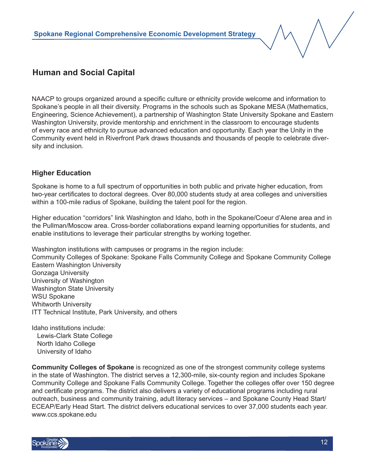NAACP to groups organized around a specific culture or ethnicity provide welcome and information to Spokane's people in all their diversity. Programs in the schools such as Spokane MESA (Mathematics, Engineering, Science Achievement), a partnership of Washington State University Spokane and Eastern Washington University, provide mentorship and enrichment in the classroom to encourage students of every race and ethnicity to pursue advanced education and opportunity. Each year the Unity in the Community event held in Riverfront Park draws thousands and thousands of people to celebrate diversity and inclusion.

#### **Higher Education**

Spokane is home to a full spectrum of opportunities in both public and private higher education, from two-year certificates to doctoral degrees. Over 80,000 students study at area colleges and universities within a 100-mile radius of Spokane, building the talent pool for the region.

Higher education "corridors" link Washington and Idaho, both in the Spokane/Coeur d'Alene area and in the Pullman/Moscow area. Cross-border collaborations expand learning opportunities for students, and enable institutions to leverage their particular strengths by working together.

Washington institutions with campuses or programs in the region include: Community Colleges of Spokane: Spokane Falls Community College and Spokane Community College Eastern Washington University Gonzaga University University of Washington Washington State University WSU Spokane Whitworth University ITT Technical Institute, Park University, and others

Idaho institutions include: Lewis-Clark State College North Idaho College University of Idaho

**Community Colleges of Spokane** is recognized as one of the strongest community college systems in the state of Washington. The district serves a 12,300-mile, six-county region and includes Spokane Community College and Spokane Falls Community College. Together the colleges offer over 150 degree and certificate programs. The district also delivers a variety of educational programs including rural outreach, business and community training, adult literacy services – and Spokane County Head Start/ ECEAP/Early Head Start. The district delivers educational services to over 37,000 students each year. www.ccs.spokane.edu

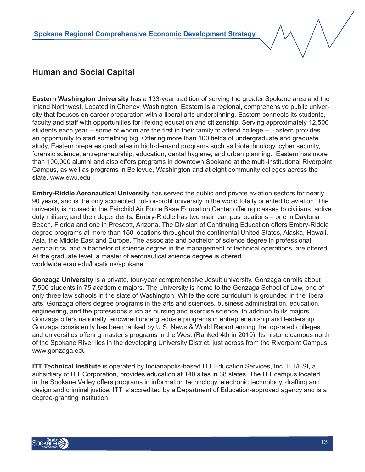**Eastern Washington University** has a 133-year tradition of serving the greater Spokane area and the Inland Northwest. Located in Cheney, Washington, Eastern is a regional, comprehensive public university that focuses on career preparation with a liberal arts underpinning. Eastern connects its students, faculty and staff with opportunities for lifelong education and citizenship. Serving approximately 12,500 students each year -- some of whom are the first in their family to attend college -- Eastern provides an opportunity to start something big. Offering more than 100 fields of undergraduate and graduate study, Eastern prepares graduates in high-demand programs such as biotechnology, cyber security, forensic science, entrepreneurship, education, dental hygiene, and urban planning. Eastern has more than 100,000 alumni and also offers programs in downtown Spokane at the multi-institutional Riverpoint Campus, as well as programs in Bellevue, Washington and at eight community colleges across the state. www.ewu.edu

**Embry-Riddle Aeronautical University** has served the public and private aviation sectors for nearly 90 years, and is the only accredited not-for-profit university in the world totally oriented to aviation. The university is housed in the Fairchild Air Force Base Education Center offering classes to civilians, active duty military, and their dependents. Embry-Riddle has two main campus locations – one in Daytona Beach, Florida and one in Prescott, Arizona. The Division of Continuing Education offers Embry-Riddle degree programs at more than 150 locations throughout the continental United States, Alaska, Hawaii, Asia, the Middle East and Europe. The associate and bachelor of science degree in professional aeronautics, and a bachelor of science degree in the management of technical operations, are offered. At the graduate level, a master of aeronautical science degree is offered. worldwide.erau.edu/locations/spokane

**Gonzaga University** is a private, four-year comprehensive Jesuit university. Gonzaga enrolls about 7,500 students in 75 academic majors. The University is home to the Gonzaga School of Law, one of only three law schools in the state of Washington. While the core curriculum is grounded in the liberal arts, Gonzaga offers degree programs in the arts and sciences, business administration, education, engineering, and the professions such as nursing and exercise science. In addition to its majors, Gonzaga offers nationally renowned undergraduate programs in entrepreneurship and leadership. Gonzaga consistently has been ranked by U.S. News & World Report among the top-rated colleges and universities offering master's programs in the West (Ranked 4th in 2010). Its historic campus north of the Spokane River lies in the developing University District, just across from the Riverpoint Campus. www.gonzaga.edu

**ITT Technical Institute** is operated by Indianapolis-based ITT Education Services, Inc. ITT/ESI, a subsidiary of ITT Corporation, provides education at 140 sites in 38 states. The ITT campus located in the Spokane Valley offers programs in information technology, electronic technology, drafting and design and criminal justice. ITT is accredited by a Department of Education-approved agency and is a degree-granting institution.

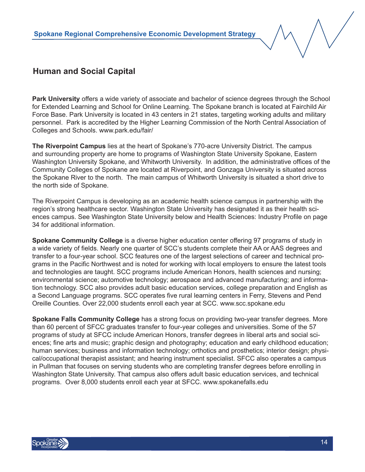

**Park University** offers a wide variety of associate and bachelor of science degrees through the School for Extended Learning and School for Online Learning. The Spokane branch is located at Fairchild Air Force Base. Park University is located in 43 centers in 21 states, targeting working adults and military personnel. Park is accredited by the Higher Learning Commission of the North Central Association of Colleges and Schools. www.park.edu/fair/

**The Riverpoint Campus** lies at the heart of Spokane's 770-acre University District. The campus and surrounding property are home to programs of Washington State University Spokane, Eastern Washington University Spokane, and Whitworth University. In addition, the administrative offices of the Community Colleges of Spokane are located at Riverpoint, and Gonzaga University is situated across the Spokane River to the north. The main campus of Whitworth University is situated a short drive to the north side of Spokane.

The Riverpoint Campus is developing as an academic health science campus in partnership with the region's strong healthcare sector. Washington State University has designated it as their health sciences campus. See Washington State University below and Health Sciences: Industry Profile on page 34 for additional information.

**Spokane Community College** is a diverse higher education center offering 97 programs of study in a wide variety of fields. Nearly one quarter of SCC's students complete their AA or AAS degrees and transfer to a four-year school. SCC features one of the largest selections of career and technical programs in the Pacific Northwest and is noted for working with local employers to ensure the latest tools and technologies are taught. SCC programs include American Honors, health sciences and nursing; environmental science; automotive technology; aerospace and advanced manufacturing; and information technology. SCC also provides adult basic education services, college preparation and English as a Second Language programs. SCC operates five rural learning centers in Ferry, Stevens and Pend Oreille Counties. Over 22,000 students enroll each year at SCC. www.scc.spokane.edu

**Spokane Falls Community College** has a strong focus on providing two-year transfer degrees. More than 60 percent of SFCC graduates transfer to four-year colleges and universities. Some of the 57 programs of study at SFCC include American Honors, transfer degrees in liberal arts and social sciences; fine arts and music; graphic design and photography; education and early childhood education; human services; business and information technology; orthotics and prosthetics; interior design; physical/occupational therapist assistant; and hearing instrument specialist. SFCC also operates a campus in Pullman that focuses on serving students who are completing transfer degrees before enrolling in Washington State University. That campus also offers adult basic education services, and technical programs. Over 8,000 students enroll each year at SFCC. www.spokanefalls.edu

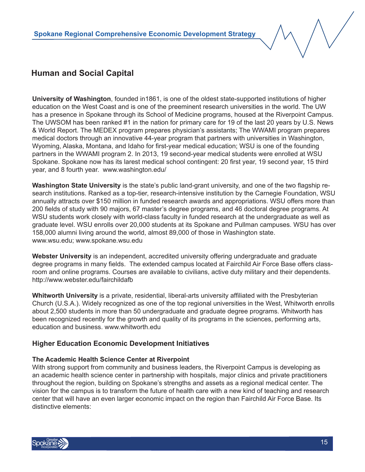**University of Washington**, founded in1861, is one of the oldest state-supported institutions of higher education on the West Coast and is one of the preeminent research universities in the world. The UW has a presence in Spokane through its School of Medicine programs, housed at the Riverpoint Campus. The UWSOM has been ranked #1 in the nation for primary care for 19 of the last 20 years by U.S. News & World Report. The MEDEX program prepares physician's assistants; The WWAMI program prepares medical doctors through an innovative 44-year program that partners with universities in Washington, Wyoming, Alaska, Montana, and Idaho for first-year medical education; WSU is one of the founding partners in the WWAMI program 2. In 2013, 19 second-year medical students were enrolled at WSU Spokane. Spokane now has its larest medical school contingent: 20 first year, 19 second year, 15 third year, and 8 fourth year. www.washington.edu/

**Washington State University** is the state's public land-grant university, and one of the two flagship research institutions. Ranked as a top-tier, research-intensive institution by the Carnegie Foundation, WSU annually attracts over \$150 million in funded research awards and appropriations. WSU offers more than 200 fields of study with 90 majors, 67 master's degree programs, and 46 doctoral degree programs. At WSU students work closely with world-class faculty in funded research at the undergraduate as well as graduate level. WSU enrolls over 20,000 students at its Spokane and Pullman campuses. WSU has over 158,000 alumni living around the world, almost 89,000 of those in Washington state. www.wsu.edu; www.spokane.wsu.edu

**Webster University** is an independent, accredited university offering undergraduate and graduate degree programs in many fields. The extended campus located at Fairchild Air Force Base offers classroom and online programs. Courses are available to civilians, active duty military and their dependents. http://www.webster.edu/fairchildafb

**Whitworth University** is a private, residential, liberal-arts university affiliated with the Presbyterian Church (U.S.A.). Widely recognized as one of the top regional universities in the West, Whitworth enrolls about 2,500 students in more than 50 undergraduate and graduate degree programs. Whitworth has been recognized recently for the growth and quality of its programs in the sciences, performing arts, education and business. www.whitworth.edu

#### **Higher Education Economic Development Initiatives**

#### **The Academic Health Science Center at Riverpoint**

With strong support from community and business leaders, the Riverpoint Campus is developing as an academic health science center in partnership with hospitals, major clinics and private practitioners throughout the region, building on Spokane's strengths and assets as a regional medical center. The vision for the campus is to transform the future of health care with a new kind of teaching and research center that will have an even larger economic impact on the region than Fairchild Air Force Base. Its distinctive elements:

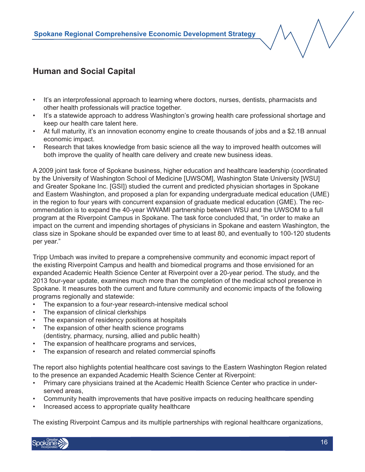- It's an interprofessional approach to learning where doctors, nurses, dentists, pharmacists and other health professionals will practice together.
- It's a statewide approach to address Washington's growing health care professional shortage and keep our health care talent here.
- At full maturity, it's an innovation economy engine to create thousands of jobs and a \$2.1B annual economic impact.
- Research that takes knowledge from basic science all the way to improved health outcomes will both improve the quality of health care delivery and create new business ideas.

A 2009 joint task force of Spokane business, higher education and healthcare leadership (coordinated by the University of Washington School of Medicine [UWSOM], Washington State University [WSU] and Greater Spokane Inc. [GSI]) studied the current and predicted physician shortages in Spokane and Eastern Washington, and proposed a plan for expanding undergraduate medical education (UME) in the region to four years with concurrent expansion of graduate medical education (GME). The recommendation is to expand the 40-year WWAMI partnership between WSU and the UWSOM to a full program at the Riverpoint Campus in Spokane. The task force concluded that, "in order to make an impact on the current and impending shortages of physicians in Spokane and eastern Washington, the class size in Spokane should be expanded over time to at least 80, and eventually to 100-120 students per year."

Tripp Umbach was invited to prepare a comprehensive community and economic impact report of the existing Riverpoint Campus and health and biomedical programs and those envisioned for an expanded Academic Health Science Center at Riverpoint over a 20-year period. The study, and the 2013 four-year update, examines much more than the completion of the medical school presence in Spokane. It measures both the current and future community and economic impacts of the following programs regionally and statewide:

- The expansion to a four-year research-intensive medical school
- The expansion of clinical clerkships
- The expansion of residency positions at hospitals
- The expansion of other health science programs (dentistry, pharmacy, nursing, allied and public health)
- The expansion of healthcare programs and services,
- The expansion of research and related commercial spinoffs

The report also highlights potential healthcare cost savings to the Eastern Washington Region related to the presence an expanded Academic Health Science Center at Riverpoint:

- Primary care physicians trained at the Academic Health Science Center who practice in underserved areas,
- Community health improvements that have positive impacts on reducing healthcare spending
- Increased access to appropriate quality healthcare

The existing Riverpoint Campus and its multiple partnerships with regional healthcare organizations,

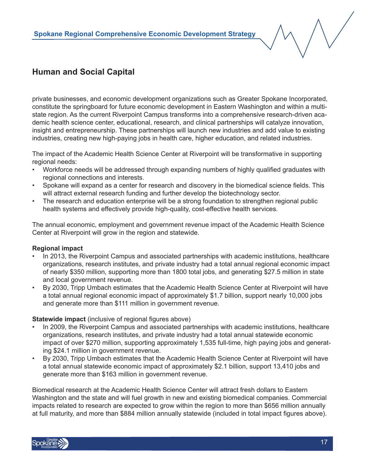

private businesses, and economic development organizations such as Greater Spokane Incorporated, constitute the springboard for future economic development in Eastern Washington and within a multistate region. As the current Riverpoint Campus transforms into a comprehensive research-driven academic health science center, educational, research, and clinical partnerships will catalyze innovation, insight and entrepreneurship. These partnerships will launch new industries and add value to existing industries, creating new high-paying jobs in health care, higher education, and related industries.

The impact of the Academic Health Science Center at Riverpoint will be transformative in supporting regional needs:

- Workforce needs will be addressed through expanding numbers of highly qualified graduates with regional connections and interests.
- Spokane will expand as a center for research and discovery in the biomedical science fields. This will attract external research funding and further develop the biotechnology sector.
- The research and education enterprise will be a strong foundation to strengthen regional public health systems and effectively provide high-quality, cost-effective health services.

The annual economic, employment and government revenue impact of the Academic Health Science Center at Riverpoint will grow in the region and statewide.

#### **Regional impact**

- In 2013, the Riverpoint Campus and associated partnerships with academic institutions, healthcare organizations, research institutes, and private industry had a total annual regional economic impact of nearly \$350 million, supporting more than 1800 total jobs, and generating \$27.5 million in state and local government revenue.
- By 2030, Tripp Umbach estimates that the Academic Health Science Center at Riverpoint will have a total annual regional economic impact of approximately \$1.7 billion, support nearly 10,000 jobs and generate more than \$111 million in government revenue.

#### **Statewide impact** (inclusive of regional figures above)

- In 2009, the Riverpoint Campus and associated partnerships with academic institutions, healthcare organizations, research institutes, and private industry had a total annual statewide economic impact of over \$270 million, supporting approximately 1,535 full-time, high paying jobs and generating \$24.1 million in government revenue.
- By 2030, Tripp Umbach estimates that the Academic Health Science Center at Riverpoint will have a total annual statewide economic impact of approximately \$2.1 billion, support 13,410 jobs and generate more than \$163 million in government revenue.

Biomedical research at the Academic Health Science Center will attract fresh dollars to Eastern Washington and the state and will fuel growth in new and existing biomedical companies. Commercial impacts related to research are expected to grow within the region to more than \$656 million annually at full maturity, and more than \$884 million annually statewide (included in total impact figures above).

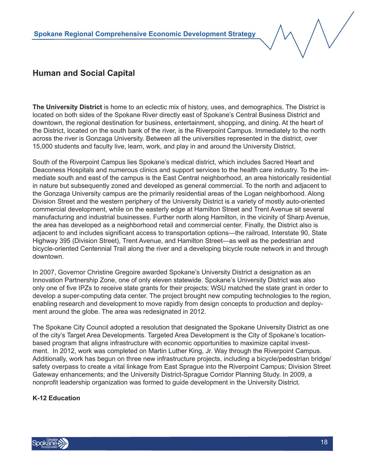**The University District** is home to an eclectic mix of history, uses, and demographics. The District is located on both sides of the Spokane River directly east of Spokane's Central Business District and downtown, the regional destination for business, entertainment, shopping, and dining. At the heart of the District, located on the south bank of the river, is the Riverpoint Campus. Immediately to the north across the river is Gonzaga University. Between all the universities represented in the district, over 15,000 students and faculty live, learn, work, and play in and around the University District.

South of the Riverpoint Campus lies Spokane's medical district, which includes Sacred Heart and Deaconess Hospitals and numerous clinics and support services to the health care industry. To the immediate south and east of the campus is the East Central neighborhood, an area historically residential in nature but subsequently zoned and developed as general commercial. To the north and adjacent to the Gonzaga University campus are the primarily residential areas of the Logan neighborhood. Along Division Street and the western periphery of the University District is a variety of mostly auto-oriented commercial development, while on the easterly edge at Hamilton Street and Trent Avenue sit several manufacturing and industrial businesses. Further north along Hamilton, in the vicinity of Sharp Avenue, the area has developed as a neighborhood retail and commercial center. Finally, the District also is adjacent to and includes significant access to transportation options—the railroad, Interstate 90, State Highway 395 (Division Street), Trent Avenue, and Hamilton Street—as well as the pedestrian and bicycle-oriented Centennial Trail along the river and a developing bicycle route network in and through downtown.

In 2007, Governor Christine Gregoire awarded Spokane's University District a designation as an Innovation Partnership Zone, one of only eleven statewide. Spokane's University District was also only one of five IPZs to receive state grants for their projects; WSU matched the state grant in order to develop a super-computing data center. The project brought new computing technologies to the region, enabling research and development to move rapidly from design concepts to production and deployment around the globe. The area was redesignated in 2012.

The Spokane City Council adopted a resolution that designated the Spokane University District as one of the city's Target Area Developments. Targeted Area Development is the City of Spokane's locationbased program that aligns infrastructure with economic opportunities to maximize capital investment. In 2012, work was completed on Martin Luther King, Jr. Way through the Riverpoint Campus. Additionally, work has begun on three new infrastructure projects, including a bicycle/pedestrian bridge/ safety overpass to create a vital linkage from East Sprague into the Riverpoint Campus; Division Street Gateway enhancements; and the University District-Sprague Corridor Planning Study. In 2009, a nonprofit leadership organization was formed to guide development in the University District.

#### **K-12 Education**

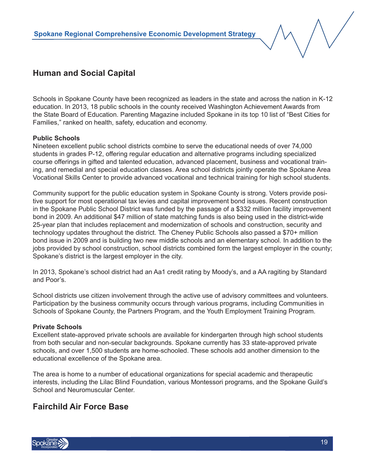Schools in Spokane County have been recognized as leaders in the state and across the nation in K-12 education. In 2013, 18 public schools in the county received Washington Achievement Awards from the State Board of Education. Parenting Magazine included Spokane in its top 10 list of "Best Cities for Families," ranked on health, safety, education and economy.

#### **Public Schools**

Nineteen excellent public school districts combine to serve the educational needs of over 74,000 students in grades P-12, offering regular education and alternative programs including specialized course offerings in gifted and talented education, advanced placement, business and vocational training, and remedial and special education classes. Area school districts jointly operate the Spokane Area Vocational Skills Center to provide advanced vocational and technical training for high school students.

Community support for the public education system in Spokane County is strong. Voters provide positive support for most operational tax levies and capital improvement bond issues. Recent construction in the Spokane Public School District was funded by the passage of a \$332 million facility improvement bond in 2009. An additional \$47 million of state matching funds is also being used in the district-wide 25-year plan that includes replacement and modernization of schools and construction, security and technology updates throughout the district. The Cheney Public Schools also passed a \$70+ million bond issue in 2009 and is building two new middle schools and an elementary school. In addition to the jobs provided by school construction, school districts combined form the largest employer in the county; Spokane's district is the largest employer in the city.

In 2013, Spokane's school district had an Aa1 credit rating by Moody's, and a AA ragiting by Standard and Poor's.

School districts use citizen involvement through the active use of advisory committees and volunteers. Participation by the business community occurs through various programs, including Communities in Schools of Spokane County, the Partners Program, and the Youth Employment Training Program.

#### **Private Schools**

Excellent state-approved private schools are available for kindergarten through high school students from both secular and non-secular backgrounds. Spokane currently has 33 state-approved private schools, and over 1,500 students are home-schooled. These schools add another dimension to the educational excellence of the Spokane area.

The area is home to a number of educational organizations for special academic and therapeutic interests, including the Lilac Blind Foundation, various Montessori programs, and the Spokane Guild's School and Neuromuscular Center.

## **Fairchild Air Force Base**

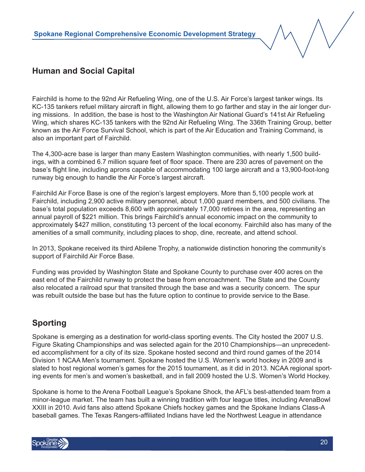Fairchild is home to the 92nd Air Refueling Wing, one of the U.S. Air Force's largest tanker wings. Its KC-135 tankers refuel military aircraft in flight, allowing them to go farther and stay in the air longer during missions. In addition, the base is host to the Washington Air National Guard's 141st Air Refueling Wing, which shares KC-135 tankers with the 92nd Air Refueling Wing. The 336th Training Group, better known as the Air Force Survival School, which is part of the Air Education and Training Command, is also an important part of Fairchild.

The 4,300-acre base is larger than many Eastern Washington communities, with nearly 1,500 buildings, with a combined 6.7 million square feet of floor space. There are 230 acres of pavement on the base's flight line, including aprons capable of accommodating 100 large aircraft and a 13,900-foot-long runway big enough to handle the Air Force's largest aircraft.

Fairchild Air Force Base is one of the region's largest employers. More than 5,100 people work at Fairchild, including 2,900 active military personnel, about 1,000 guard members, and 500 civilians. The base's total population exceeds 8,600 with approximately 17,000 retirees in the area, representing an annual payroll of \$221 million. This brings Fairchild's annual economic impact on the community to approximately \$427 million, constituting 13 percent of the local economy. Fairchild also has many of the amenities of a small community, including places to shop, dine, recreate, and attend school.

In 2013, Spokane received its third Abilene Trophy, a nationwide distinction honoring the community's support of Fairchild Air Force Base.

Funding was provided by Washington State and Spokane County to purchase over 400 acres on the east end of the Fairchild runway to protect the base from encroachment. The State and the County also relocated a railroad spur that transited through the base and was a security concern. The spur was rebuilt outside the base but has the future option to continue to provide service to the Base.

## **Sporting**

Spokane is emerging as a destination for world-class sporting events. The City hosted the 2007 U.S. Figure Skating Championships and was selected again for the 2010 Championships—an unprecedented accomplishment for a city of its size. Spokane hosted second and third round games of the 2014 Division 1 NCAA Men's tournament. Spokane hosted the U.S. Women's world hockey in 2009 and is slated to host regional women's games for the 2015 tournament, as it did in 2013. NCAA regional sporting events for men's and women's basketball, and in fall 2009 hosted the U.S. Women's World Hockey.

Spokane is home to the Arena Football League's Spokane Shock, the AFL's best-attended team from a minor-league market. The team has built a winning tradition with four league titles, including ArenaBowl XXIII in 2010. Avid fans also attend Spokane Chiefs hockey games and the Spokane Indians Class-A baseball games. The Texas Rangers-affiliated Indians have led the Northwest League in attendance

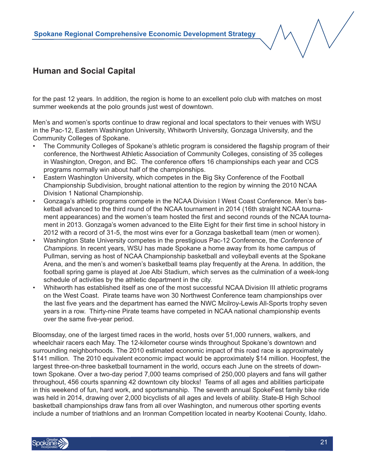

for the past 12 years. In addition, the region is home to an excellent polo club with matches on most summer weekends at the polo grounds just west of downtown.

Men's and women's sports continue to draw regional and local spectators to their venues with WSU in the Pac-12, Eastern Washington University, Whitworth University, Gonzaga University, and the Community Colleges of Spokane.

- The Community Colleges of Spokane's athletic program is considered the flagship program of their conference, the Northwest Athletic Association of Community Colleges, consisting of 35 colleges in Washington, Oregon, and BC. The conference offers 16 championships each year and CCS programs normally win about half of the championships.
- Eastern Washington University, which competes in the Big Sky Conference of the Football Championship Subdivision, brought national attention to the region by winning the 2010 NCAA Division 1 National Championship.
- Gonzaga's athletic programs compete in the NCAA Division I West Coast Conference. Men's basketball advanced to the third round of the NCAA tournament in 2014 (16th straight NCAA tournament appearances) and the women's team hosted the first and second rounds of the NCAA tournament in 2013. Gonzaga's women advanced to the Elite Eight for their first time in school history in 2012 with a record of 31-5, the most wins ever for a Gonzaga basketball team (men or women).
- Washington State University competes in the prestigious Pac-12 Conference, the *Conference of Champions.* In recent years, WSU has made Spokane a home away from its home campus of Pullman, serving as host of NCAA Championship basketball and volleyball events at the Spokane Arena, and the men's and women's basketball teams play frequently at the Arena. In addition, the football spring game is played at Joe Albi Stadium, which serves as the culmination of a week-long schedule of activities by the athletic department in the city.
- Whitworth has established itself as one of the most successful NCAA Division III athletic programs on the West Coast. Pirate teams have won 30 Northwest Conference team championships over the last five years and the department has earned the NWC Mcilroy-Lewis All-Sports trophy seven years in a row. Thirty-nine Pirate teams have competed in NCAA national championship events over the same five-year period.

Bloomsday, one of the largest timed races in the world, hosts over 51,000 runners, walkers, and wheelchair racers each May. The 12-kilometer course winds throughout Spokane's downtown and surrounding neighborhoods. The 2010 estimated economic impact of this road race is approximately \$141 million. The 2010 equivalent economic impact would be approximately \$14 million. Hoopfest, the largest three-on-three basketball tournament in the world, occurs each June on the streets of downtown Spokane. Over a two-day period 7,000 teams comprised of 250,000 players and fans will gather throughout, 456 courts spanning 42 downtown city blocks! Teams of all ages and abilities participate in this weekend of fun, hard work, and sportsmanship. The seventh annual SpokeFest family bike ride was held in 2014, drawing over 2,000 bicyclists of all ages and levels of ability. State-B High School basketball championships draw fans from all over Washington, and numerous other sporting events include a number of triathlons and an Ironman Competition located in nearby Kootenai County, Idaho.

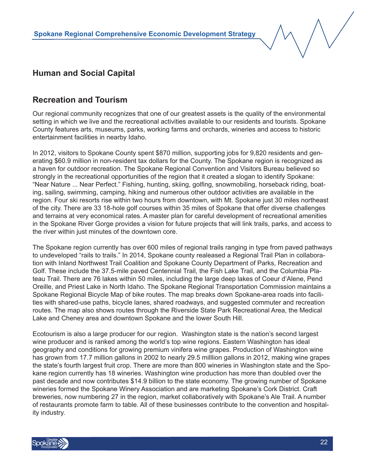## **Recreation and Tourism**

Our regional community recognizes that one of our greatest assets is the quality of the environmental setting in which we live and the recreational activities available to our residents and tourists. Spokane County features arts, museums, parks, working farms and orchards, wineries and access to historic entertainment facilities in nearby Idaho.

In 2012, visitors to Spokane County spent \$870 million, supporting jobs for 9,820 residents and generating \$60.9 million in non-resident tax dollars for the County. The Spokane region is recognized as a haven for outdoor recreation. The Spokane Regional Convention and Visitors Bureau believed so strongly in the recreational opportunities of the region that it created a slogan to identify Spokane: "Near Nature ... Near Perfect." Fishing, hunting, skiing, golfing, snowmobiling, horseback riding, boating, sailing, swimming, camping, hiking and numerous other outdoor activities are available in the region. Four ski resorts rise within two hours from downtown, with Mt. Spokane just 30 miles northeast of the city. There are 33 18-hole golf courses within 35 miles of Spokane that offer diverse challenges and terrains at very economical rates. A master plan for careful development of recreational amenities in the Spokane River Gorge provides a vision for future projects that will link trails, parks, and access to the river within just minutes of the downtown core.

The Spokane region currently has over 600 miles of regional trails ranging in type from paved pathways to undeveloped "rails to trails." In 2014, Spokane county realeased a Regional Trail Plan in collaboration with Inland Northwest Trail Coalition and Spokane County Department of Parks, Recreation and Golf. These include the 37.5-mile paved Centennial Trail, the Fish Lake Trail, and the Columbia Plateau Trail. There are 76 lakes within 50 miles, including the large deep lakes of Coeur d'Alene, Pend Oreille, and Priest Lake in North Idaho. The Spokane Regional Transportation Commission maintains a Spokane Regional Bicycle Map of bike routes. The map breaks down Spokane-area roads into facilities with shared-use paths, bicycle lanes, shared roadways, and suggested commuter and recreation routes. The map also shows routes through the Riverside State Park Recreational Area, the Medical Lake and Cheney area and downtown Spokane and the lower South Hill.

Ecotourism is also a large producer for our region. Washington state is the nation's second largest wine producer and is ranked among the world's top wine regions. Eastern Washington has ideal geography and conditions for growing premium vinifera wine grapes. Production of Washington wine has grown from 17.7 million gallons in 2002 to nearly 29.5 milllion gallons in 2012, making wine grapes the state's fourth largest fruit crop. There are more than 800 wineries in Washington state and the Spokane region currently has 18 wineries. Washington wine production has more than doubled over the past decade and now contributes \$14.9 billion to the state economy. The growing number of Spokane wineries formed the Spokane Winery Association and are marketing Spokane's Cork District. Craft breweries, now numbering 27 in the region, market collaboratively with Spokane's Ale Trail. A number of restaurants promote farm to table. All of these businesses contribute to the convention and hospitality industry.

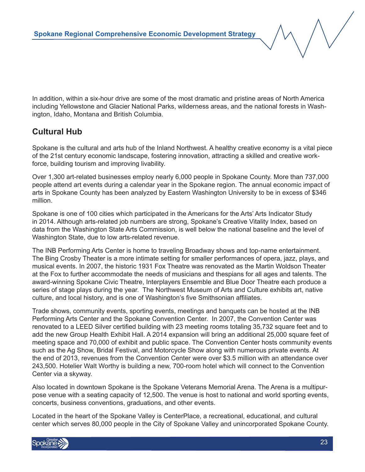In addition, within a six-hour drive are some of the most dramatic and pristine areas of North America including Yellowstone and Glacier National Parks, wilderness areas, and the national forests in Washington, Idaho, Montana and British Columbia.

## **Cultural Hub**

Spokane is the cultural and arts hub of the Inland Northwest. A healthy creative economy is a vital piece of the 21st century economic landscape, fostering innovation, attracting a skilled and creative workforce, building tourism and improving livability.

Over 1,300 art-related businesses employ nearly 6,000 people in Spokane County. More than 737,000 people attend art events during a calendar year in the Spokane region. The annual economic impact of arts in Spokane County has been analyzed by Eastern Washington University to be in excess of \$346 million.

Spokane is one of 100 cities which participated in the Americans for the Arts' Arts Indicator Study in 2014. Although arts-related job numbers are strong, Spokane's Creative Vitality Index, based on data from the Washington State Arts Commission, is well below the national baseline and the level of Washington State, due to low arts-related revenue.

The INB Performing Arts Center is home to traveling Broadway shows and top-name entertainment. The Bing Crosby Theater is a more intimate setting for smaller performances of opera, jazz, plays, and musical events. In 2007, the historic 1931 Fox Theatre was renovated as the Martin Woldson Theater at the Fox to further accommodate the needs of musicians and thespians for all ages and talents. The award-winning Spokane Civic Theatre, Interplayers Ensemble and Blue Door Theatre each produce a series of stage plays during the year. The Northwest Museum of Arts and Culture exhibits art, native culture, and local history, and is one of Washington's five Smithsonian affiliates.

Trade shows, community events, sporting events, meetings and banquets can be hosted at the INB Performing Arts Center and the Spokane Convention Center. In 2007, the Convention Center was renovated to a LEED Silver certified building with 23 meeting rooms totaling 35,732 square feet and to add the new Group Health Exhibit Hall. A 2014 expansion will bring an additional 25,000 square feet of meeting space and 70,000 of exhibit and public space. The Convention Center hosts community events such as the Ag Show, Bridal Festival, and Motorcycle Show along with numerous private events. At the end of 2013, revenues from the Convention Center were over \$3.5 million with an attendance over 243,500. Hotelier Walt Worthy is building a new, 700-room hotel which will connect to the Convention Center via a skyway.

Also located in downtown Spokane is the Spokane Veterans Memorial Arena. The Arena is a multipurpose venue with a seating capacity of 12,500. The venue is host to national and world sporting events, concerts, business conventions, graduations, and other events.

Located in the heart of the Spokane Valley is CenterPlace, a recreational, educational, and cultural center which serves 80,000 people in the City of Spokane Valley and unincorporated Spokane County.

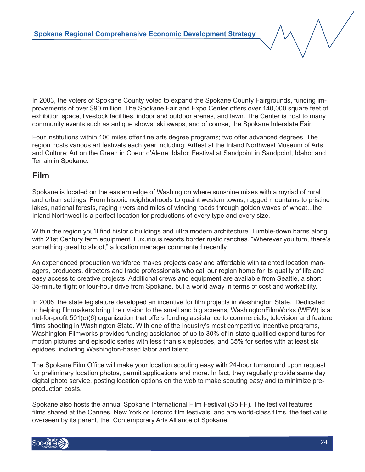In 2003, the voters of Spokane County voted to expand the Spokane County Fairgrounds, funding improvements of over \$90 million. The Spokane Fair and Expo Center offers over 140,000 square feet of exhibition space, livestock facilities, indoor and outdoor arenas, and lawn. The Center is host to many community events such as antique shows, ski swaps, and of course, the Spokane Interstate Fair.

Four institutions within 100 miles offer fine arts degree programs; two offer advanced degrees. The region hosts various art festivals each year including: Artfest at the Inland Northwest Museum of Arts and Culture; Art on the Green in Coeur d'Alene, Idaho; Festival at Sandpoint in Sandpoint, Idaho; and Terrain in Spokane.

#### **Film**

Spokane is located on the eastern edge of Washington where sunshine mixes with a myriad of rural and urban settings. From historic neighborhoods to quaint western towns, rugged mountains to pristine lakes, national forests, raging rivers and miles of winding roads through golden waves of wheat...the Inland Northwest is a perfect location for productions of every type and every size.

Within the region you'll find historic buildings and ultra modern architecture. Tumble-down barns along with 21st Century farm equipment. Luxurious resorts border rustic ranches. "Wherever you turn, there's something great to shoot," a location manager commented recently.

An experienced production workforce makes projects easy and affordable with talented location managers, producers, directors and trade professionals who call our region home for its quality of life and easy access to creative projects. Additional crews and equipment are available from Seattle, a short 35-minute flight or four-hour drive from Spokane, but a world away in terms of cost and workability.

In 2006, the state legislature developed an incentive for film projects in Washington State. Dedicated to helping filmmakers bring their vision to the small and big screens, WashingtonFilmWorks (WFW) is a not-for-profit 501(c)(6) organization that offers funding assistance to commercials, television and feature films shooting in Washington State. With one of the industry's most competitive incentive programs, Washington Filmworks provides funding assistance of up to 30% of in-state qualified expenditures for motion pictures and episodic series with less than six episodes, and 35% for series with at least six epidoes, including Washington-based labor and talent.

The Spokane Film Office will make your location scouting easy with 24-hour turnaround upon request for preliminary location photos, permit applications and more. In fact, they regularly provide same day digital photo service, posting location options on the web to make scouting easy and to minimize preproduction costs.

Spokane also hosts the annual Spokane International Film Festival (SpIFF). The festival features films shared at the Cannes, New York or Toronto film festivals, and are world-class films. the festival is overseen by its parent, the Contemporary Arts Alliance of Spokane.

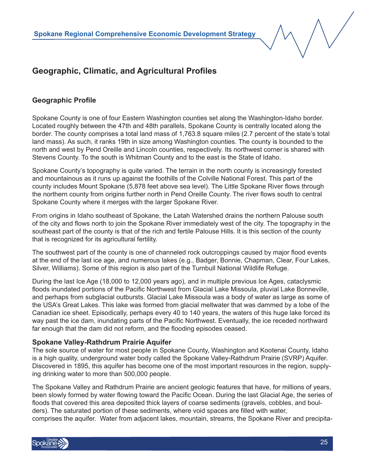#### **Geographic Profile**

Spokane County is one of four Eastern Washington counties set along the Washington-Idaho border. Located roughly between the 47th and 48th parallels, Spokane County is centrally located along the border. The county comprises a total land mass of 1,763.8 square miles (2.7 percent of the state's total land mass). As such, it ranks 19th in size among Washington counties. The county is bounded to the north and west by Pend Oreille and Lincoln counties, respectively. Its northwest corner is shared with Stevens County. To the south is Whitman County and to the east is the State of Idaho.

Spokane County's topography is quite varied. The terrain in the north county is increasingly forested and mountainous as it runs up against the foothills of the Colville National Forest. This part of the county includes Mount Spokane (5,878 feet above sea level). The Little Spokane River flows through the northern county from origins further north in Pend Oreille County. The river flows south to central Spokane County where it merges with the larger Spokane River.

From origins in Idaho southeast of Spokane, the Latah Watershed drains the northern Palouse south of the city and flows north to join the Spokane River immediately west of the city. The topography in the southeast part of the county is that of the rich and fertile Palouse Hills. It is this section of the county that is recognized for its agricultural fertility.

The southwest part of the county is one of channeled rock outcroppings caused by major flood events at the end of the last ice age, and numerous lakes (e.g., Badger, Bonnie, Chapman, Clear, Four Lakes, Silver, Williams). Some of this region is also part of the Turnbull National Wildlife Refuge.

During the last Ice Age (18,000 to 12,000 years ago), and in multiple previous Ice Ages, cataclysmic floods inundated portions of the Pacific Northwest from Glacial Lake Missoula, pluvial Lake Bonneville, and perhaps from subglacial outbursts. Glacial Lake Missoula was a body of water as large as some of the USA's Great Lakes. This lake was formed from glacial meltwater that was dammed by a lobe of the Canadian ice sheet. Episodically, perhaps every 40 to 140 years, the waters of this huge lake forced its way past the ice dam, inundating parts of the Pacific Northwest. Eventually, the ice receded northward far enough that the dam did not reform, and the flooding episodes ceased.

#### **Spokane Valley-Rathdrum Prairie Aquifer**

The sole source of water for most people in Spokane County, Washington and Kootenai County, Idaho is a high quality, underground water body called the Spokane Valley-Rathdrum Prairie (SVRP) Aquifer. Discovered in 1895, this aquifer has become one of the most important resources in the region, supplying drinking water to more than 500,000 people.

The Spokane Valley and Rathdrum Prairie are ancient geologic features that have, for millions of years, been slowly formed by water flowing toward the Pacific Ocean. During the last Glacial Age, the series of floods that covered this area deposited thick layers of coarse sediments (gravels, cobbles, and boulders). The saturated portion of these sediments, where void spaces are filled with water, comprises the aquifer. Water from adjacent lakes, mountain, streams, the Spokane River and precipita-

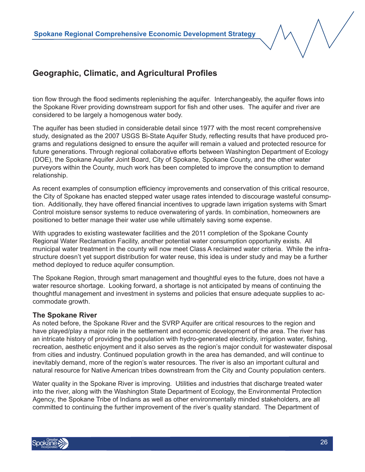tion flow through the flood sediments replenishing the aquifer. Interchangeably, the aquifer flows into the Spokane River providing downstream support for fish and other uses. The aquifer and river are considered to be largely a homogenous water body.

The aquifer has been studied in considerable detail since 1977 with the most recent comprehensive study, designated as the 2007 USGS Bi-State Aquifer Study, reflecting results that have produced programs and regulations designed to ensure the aquifer will remain a valued and protected resource for future generations. Through regional collaborative efforts between Washington Department of Ecology (DOE), the Spokane Aquifer Joint Board, City of Spokane, Spokane County, and the other water purveyors within the County, much work has been completed to improve the consumption to demand relationship.

As recent examples of consumption efficiency improvements and conservation of this critical resource, the City of Spokane has enacted stepped water usage rates intended to discourage wasteful consumption. Additionally, they have offered financial incentives to upgrade lawn irrigation systems with Smart Control moisture sensor systems to reduce overwatering of yards. In combination, homeowners are positioned to better manage their water use while ultimately saving some expense.

With upgrades to existing wastewater facilities and the 2011 completion of the Spokane County Regional Water Reclamation Facility, another potential water consumption opportunity exists. All municipal water treatment in the county will now meet Class A reclaimed water criteria. While the infrastructure doesn't yet support distribution for water reuse, this idea is under study and may be a further method deployed to reduce aquifer consumption.

The Spokane Region, through smart management and thoughtful eyes to the future, does not have a water resource shortage. Looking forward, a shortage is not anticipated by means of continuing the thoughtful management and investment in systems and policies that ensure adequate supplies to accommodate growth.

#### **The Spokane River**

As noted before, the Spokane River and the SVRP Aquifer are critical resources to the region and have played/play a major role in the settlement and economic development of the area. The river has an intricate history of providing the population with hydro-generated electricity, irrigation water, fishing, recreation, aesthetic enjoyment and it also serves as the region's major conduit for wastewater disposal from cities and industry. Continued population growth in the area has demanded, and will continue to inevitably demand, more of the region's water resources. The river is also an important cultural and natural resource for Native American tribes downstream from the City and County population centers.

Water quality in the Spokane River is improving. Utilities and industries that discharge treated water into the river, along with the Washington State Department of Ecology, the Environmental Protection Agency, the Spokane Tribe of Indians as well as other environmentally minded stakeholders, are all committed to continuing the further improvement of the river's quality standard. The Department of

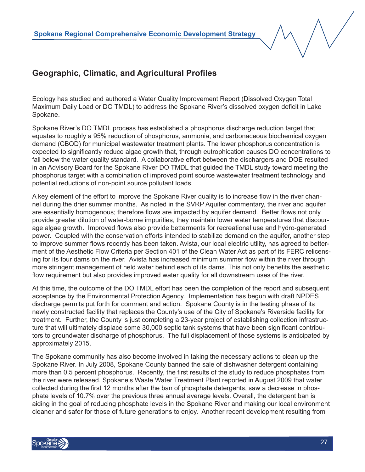Ecology has studied and authored a Water Quality Improvement Report (Dissolved Oxygen Total Maximum Daily Load or DO TMDL) to address the Spokane River's dissolved oxygen deficit in Lake Spokane.

Spokane River's DO TMDL process has established a phosphorus discharge reduction target that equates to roughly a 95% reduction of phosphorus, ammonia, and carbonaceous biochemical oxygen demand (CBOD) for municipal wastewater treatment plants. The lower phosphorus concentration is expected to significantly reduce algae growth that, through eutrophication causes DO concentrations to fall below the water quality standard. A collaborative effort between the dischargers and DOE resulted in an Advisory Board for the Spokane River DO TMDL that guided the TMDL study toward meeting the phosphorus target with a combination of improved point source wastewater treatment technology and potential reductions of non-point source pollutant loads.

A key element of the effort to improve the Spokane River quality is to increase flow in the river channel during the drier summer months. As noted in the SVRP Aquifer commentary, the river and aquifer are essentially homogenous; therefore flows are impacted by aquifer demand. Better flows not only provide greater dilution of water-borne impurities, they maintain lower water temperatures that discourage algae growth. Improved flows also provide betterments for recreational use and hydro-generated power. Coupled with the conservation efforts intended to stabilize demand on the aquifer, another step to improve summer flows recently has been taken. Avista, our local electric utility, has agreed to betterment of the Aesthetic Flow Criteria per Section 401 of the Clean Water Act as part of its FERC relicensing for its four dams on the river. Avista has increased minimum summer flow within the river through more stringent management of held water behind each of its dams. This not only benefits the aesthetic flow requirement but also provides improved water quality for all downstream uses of the river.

At this time, the outcome of the DO TMDL effort has been the completion of the report and subsequent acceptance by the Environmental Protection Agency. Implementation has begun with draft NPDES discharge permits put forth for comment and action. Spokane County is in the testing phase of its newly constructed facility that replaces the County's use of the City of Spokane's Riverside facility for treatment. Further, the County is just completing a 23-year project of establishing collection infrastructure that will ultimately displace some 30,000 septic tank systems that have been significant contributors to groundwater discharge of phosphorus. The full displacement of those systems is anticipated by approximately 2015.

The Spokane community has also become involved in taking the necessary actions to clean up the Spokane River. In July 2008, Spokane County banned the sale of dishwasher detergent containing more than 0.5 percent phosphorus. Recently, the first results of the study to reduce phosphates from the river were released. Spokane's Waste Water Treatment Plant reported in August 2009 that water collected during the first 12 months after the ban of phosphate detergents, saw a decrease in phosphate levels of 10.7% over the previous three annual average levels. Overall, the detergent ban is aiding in the goal of reducing phosphate levels in the Spokane River and making our local environment cleaner and safer for those of future generations to enjoy. Another recent development resulting from

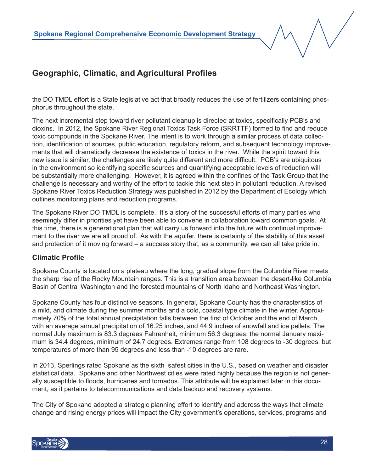the DO TMDL effort is a State legislative act that broadly reduces the use of fertilizers containing phosphorus throughout the state.

The next incremental step toward river pollutant cleanup is directed at toxics, specifically PCB's and dioxins. In 2012, the Spokane River Regional Toxics Task Force (SRRTTF) formed to find and reduce toxic compounds in the Spokane River. The intent is to work through a similar process of data collection, identification of sources, public education, regulatory reform, and subsequent technology improvements that will dramatically decrease the existence of toxics in the river. While the spirit toward this new issue is similar, the challenges are likely quite different and more difficult. PCB's are ubiquitous in the environment so identifying specific sources and quantifying acceptable levels of reduction will be substantially more challenging. However, it is agreed within the confines of the Task Group that the challenge is necessary and worthy of the effort to tackle this next step in pollutant reduction. A revised Spokane River Toxics Reduction Strategy was published in 2012 by the Department of Ecology which outlines monitoring plans and reduction programs.

The Spokane River DO TMDL is complete. It's a story of the successful efforts of many parties who seemingly differ in priorities yet have been able to convene in collaboration toward common goals. At this time, there is a generational plan that will carry us forward into the future with continual improvement to the river we are all proud of. As with the aquifer, there is certainty of the stability of this asset and protection of it moving forward – a success story that, as a community, we can all take pride in.

#### **Climatic Profile**

Spokane County is located on a plateau where the long, gradual slope from the Columbia River meets the sharp rise of the Rocky Mountain ranges. This is a transition area between the desert-like Columbia Basin of Central Washington and the forested mountains of North Idaho and Northeast Washington.

Spokane County has four distinctive seasons. In general, Spokane County has the characteristics of a mild, arid climate during the summer months and a cold, coastal type climate in the winter. Approximately 70% of the total annual precipitation falls between the first of October and the end of March, with an average annual precipitation of 16.25 inches, and 44.9 inches of snowfall and ice pellets. The normal July maximum is 83.3 degrees Fahrenheit, minimum 56.3 degrees; the normal January maximum is 34.4 degrees, minimum of 24.7 degrees. Extremes range from 108 degrees to -30 degrees, but temperatures of more than 95 degrees and less than -10 degrees are rare.

In 2013, Sperlings rated Spokane as the sixth safest cities in the U.S., based on weather and disaster statistical data. Spokane and other Northwest cities were rated highly because the region is not generally susceptible to floods, hurricanes and tornados. This attribute will be explained later in this document, as it pertains to telecommunications and data backup and recovery systems.

The City of Spokane adopted a strategic planning effort to identify and address the ways that climate change and rising energy prices will impact the City government's operations, services, programs and

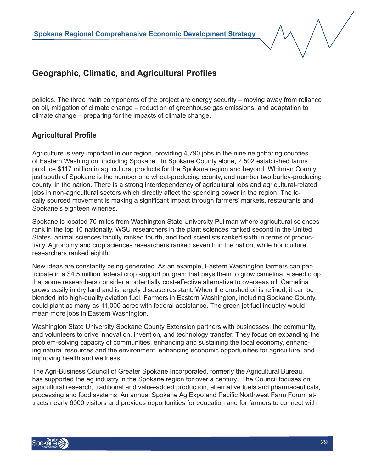policies. The three main components of the project are energy security – moving away from reliance on oil, mitigation of climate change – reduction of greenhouse gas emissions, and adaptation to climate change – preparing for the impacts of climate change.

#### **Agricultural Profile**

Agriculture is very important in our region, providing 4,790 jobs in the nine neighboring counties of Eastern Washington, including Spokane. In Spokane County alone, 2,502 established farms produce \$117 million in agricultural products for the Spokane region and beyond. Whitman County, just south of Spokane is the number one wheat-producing county, and number two barley-producing county, in the nation. There is a strong interdependency of agricultural jobs and agricultural-related jobs in non-agricultural sectors which directly affect the spending power in the region. The locally sourced movement is making a significant impact through farmers' markets, restaurants and Spokane's eighteen wineries.

Spokane is located 70-miles from Washington State University Pullman where agricultural sciences rank in the top 10 nationally. WSU researchers in the plant sciences ranked second in the United States, animal sciences faculty ranked fourth, and food scientists ranked sixth in terms of productivity. Agronomy and crop sciences researchers ranked seventh in the nation, while horticulture researchers ranked eighth.

New ideas are constantly being generated. As an example, Eastern Washington farmers can participate in a \$4.5 million federal crop support program that pays them to grow camelina, a seed crop that some researchers consider a potentially cost-effective alternative to overseas oil. Camelina grows easily in dry land and is largely disease resistant. When the crushed oil is refined, it can be blended into high-quality aviation fuel. Farmers in Eastern Washington, including Spokane County, could plant as many as 11,000 acres with federal assistance. The green jet fuel industry would mean more jobs in Eastern Washington.

Washington State University Spokane County Extension partners with businesses, the community, and volunteers to drive innovation, invention, and technology transfer. They focus on expanding the problem-solving capacity of communities, enhancing and sustaining the local economy, enhancing natural resources and the environment, enhancing economic opportunities for agriculture, and improving health and wellness.

The Agri-Business Council of Greater Spokane Incorporated, formerly the Agricultural Bureau, has supported the ag industry in the Spokane region for over a century. The Council focuses on agricultural research, traditional and value-added production, alternative fuels and pharmaceuticals, processing and food systems. An annual Spokane Ag Expo and Pacific Northwest Farm Forum attracts nearly 6000 visitors and provides opportunities for education and for farmers to connect with

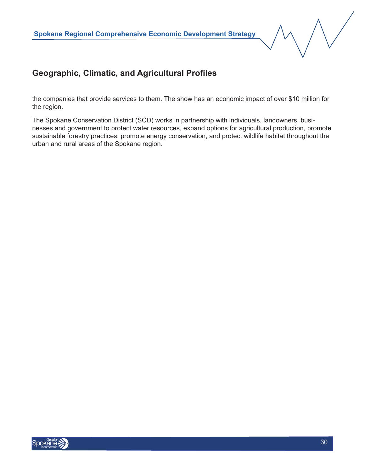the companies that provide services to them. The show has an economic impact of over \$10 million for the region.

The Spokane Conservation District (SCD) works in partnership with individuals, landowners, businesses and government to protect water resources, expand options for agricultural production, promote sustainable forestry practices, promote energy conservation, and protect wildlife habitat throughout the urban and rural areas of the Spokane region.

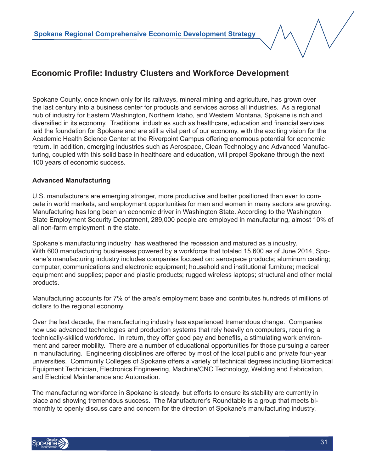Spokane County, once known only for its railways, mineral mining and agriculture, has grown over the last century into a business center for products and services across all industries. As a regional hub of industry for Eastern Washington, Northern Idaho, and Western Montana, Spokane is rich and diversified in its economy. Traditional industries such as healthcare, education and financial services laid the foundation for Spokane and are still a vital part of our economy, with the exciting vision for the Academic Health Science Center at the Riverpoint Campus offering enormous potential for economic return. In addition, emerging industries such as Aerospace, Clean Technology and Advanced Manufacturing, coupled with this solid base in healthcare and education, will propel Spokane through the next 100 years of economic success.

#### **Advanced Manufacturing**

U.S. manufacturers are emerging stronger, more productive and better positioned than ever to compete in world markets, and employment opportunities for men and women in many sectors are growing. Manufacturing has long been an economic driver in Washington State. According to the Washington State Employment Security Department, 289,000 people are employed in manufacturing, almost 10% of all non-farm employment in the state.

Spokane's manufacturing industry has weathered the recession and matured as a industry. With 600 manufacturing businesses powered by a workforce that totaled 15,600 as of June 2014, Spokane's manufacturing industry includes companies focused on: aerospace products; aluminum casting; computer, communications and electronic equipment; household and institutional furniture; medical equipment and supplies; paper and plastic products; rugged wireless laptops; structural and other metal products.

Manufacturing accounts for 7% of the area's employment base and contributes hundreds of millions of dollars to the regional economy.

Over the last decade, the manufacturing industry has experienced tremendous change. Companies now use advanced technologies and production systems that rely heavily on computers, requiring a technically-skilled workforce. In return, they offer good pay and benefits, a stimulating work environment and career mobility. There are a number of educational opportunities for those pursuing a career in manufacturing. Engineering disciplines are offered by most of the local public and private four-year universities. Community Colleges of Spokane offers a variety of technical degrees including Biomedical Equipment Technician, Electronics Engineering, Machine/CNC Technology, Welding and Fabrication, and Electrical Maintenance and Automation.

The manufacturing workforce in Spokane is steady, but efforts to ensure its stability are currently in place and showing tremendous success. The Manufacturer's Roundtable is a group that meets bimonthly to openly discuss care and concern for the direction of Spokane's manufacturing industry.

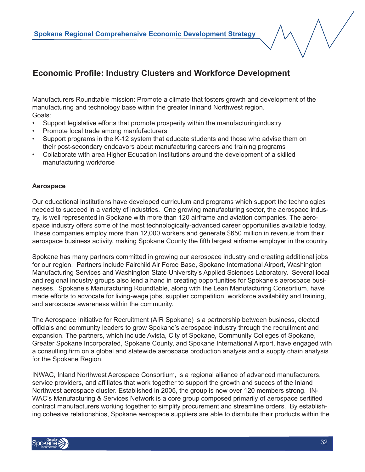Manufacturers Roundtable mission: Promote a climate that fosters growth and development of the manufacturing and technology base within the greater Inlnand Northwest region. Goals:

- Support legislative efforts that promote prosperity within the manufacturingindustry
- Promote local trade among manfufacturers
- Support programs in the K-12 system that educate students and those who advise them on their post-secondary endeavors about manufacturing careers and training programs
- Collaborate with area Higher Education Institutions around the development of a skilled manufacturing workforce

#### **Aerospace**

Our educational institutions have developed curriculum and programs which support the technologies needed to succeed in a variety of industries. One growing manufacturing sector, the aerospace industry, is well represented in Spokane with more than 120 airframe and aviation companies. The aerospace industry offers some of the most technologically-advanced career opportunities available today. These companies employ more than 12,000 workers and generate \$650 million in revenue from their aerospace business activity, making Spokane County the fifth largest airframe employer in the country.

Spokane has many partners committed in growing our aerospace industry and creating additional jobs for our region. Partners include Fairchild Air Force Base, Spokane International Airport, Washington Manufacturing Services and Washington State University's Applied Sciences Laboratory. Several local and regional industry groups also lend a hand in creating opportunities for Spokane's aerospace businesses. Spokane's Manufacturing Roundtable, along with the Lean Manufacturing Consortium, have made efforts to advocate for living-wage jobs, supplier competition, workforce availability and training, and aerospace awareness within the community.

The Aerospace Initiative for Recruitment (AIR Spokane) is a partnership between business, elected officials and community leaders to grow Spokane's aerospace industry through the recruitment and expansion. The partners, which include Avista, City of Spokane, Community Colleges of Spokane, Greater Spokane Incorporated, Spokane County, and Spokane International Airport, have engaged with a consulting firm on a global and statewide aerospace production analysis and a supply chain analysis for the Spokane Region.

INWAC, Inland Northwest Aerospace Consortium, is a regional alliance of advanced manufacturers, service providers, and affiliates that work together to support the growth and succes of the Inland Northwest aerospace cluster. Established in 2005, the group is now over 120 members strong. IN-WAC's Manufacturing & Services Network is a core group composed primarily of aerospace certified contract manufacturers working together to simplify procurement and streamline orders. By establishing cohesive relationships, Spokane aerospace suppliers are able to distribute their products within the

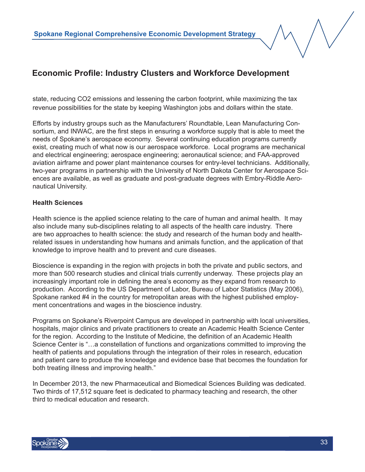state, reducing CO2 emissions and lessening the carbon footprint, while maximizing the tax revenue possibilities for the state by keeping Washington jobs and dollars within the state.

Efforts by industry groups such as the Manufacturers' Roundtable, Lean Manufacturing Consortium, and INWAC, are the first steps in ensuring a workforce supply that is able to meet the needs of Spokane's aerospace economy. Several continuing education programs currently exist, creating much of what now is our aerospace workforce. Local programs are mechanical and electrical engineering; aerospace engineering; aeronautical science; and FAA-approved aviation airframe and power plant maintenance courses for entry-level technicians. Additionally, two-year programs in partnership with the University of North Dakota Center for Aerospace Sciences are available, as well as graduate and post-graduate degrees with Embry-Riddle Aeronautical University.

#### **Health Sciences**

Health science is the applied science relating to the care of human and animal health. It may also include many sub-disciplines relating to all aspects of the health care industry. There are two approaches to health science: the study and research of the human body and healthrelated issues in understanding how humans and animals function, and the application of that knowledge to improve health and to prevent and cure diseases.

Bioscience is expanding in the region with projects in both the private and public sectors, and more than 500 research studies and clinical trials currently underway. These projects play an increasingly important role in defining the area's economy as they expand from research to production. According to the US Department of Labor, Bureau of Labor Statistics (May 2006), Spokane ranked #4 in the country for metropolitan areas with the highest published employment concentrations and wages in the bioscience industry.

Programs on Spokane's Riverpoint Campus are developed in partnership with local universities, hospitals, major clinics and private practitioners to create an Academic Health Science Center for the region. According to the Institute of Medicine, the definition of an Academic Health Science Center is "…a constellation of functions and organizations committed to improving the health of patients and populations through the integration of their roles in research, education and patient care to produce the knowledge and evidence base that becomes the foundation for both treating illness and improving health."

In December 2013, the new Pharmaceutical and Biomedical Sciences Building was dedicated. Two thirds of 17,512 square feet is dedicated to pharmacy teaching and research, the other third to medical education and research.

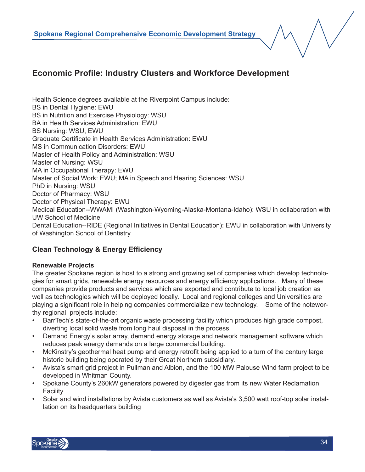Health Science degrees available at the Riverpoint Campus include: BS in Dental Hygiene: EWU BS in Nutrition and Exercise Physiology: WSU BA in Health Services Administration: EWU BS Nursing: WSU, EWU Graduate Certificate in Health Services Administration: EWU MS in Communication Disorders: EWU Master of Health Policy and Administration: WSU Master of Nursing: WSU MA in Occupational Therapy: EWU Master of Social Work: EWU; MA in Speech and Hearing Sciences: WSU PhD in Nursing: WSU Doctor of Pharmacy: WSU Doctor of Physical Therapy: EWU Medical Education--WWAMI (Washington-Wyoming-Alaska-Montana-Idaho): WSU in collaboration with UW School of Medicine Dental Education--RIDE (Regional Initiatives in Dental Education): EWU in collaboration with University of Washington School of Dentistry

#### **Clean Technology & Energy Efficiency**

#### **Renewable Projects**

The greater Spokane region is host to a strong and growing set of companies which develop technologies for smart grids, renewable energy resources and energy efficiency applications. Many of these companies provide products and services which are exported and contribute to local job creation as well as technologies which will be deployed locally. Local and regional colleges and Universities are playing a significant role in helping companies commercialize new technology. Some of the noteworthy regional projects include:

- BarrTech's state-of-the-art organic waste processing facility which produces high grade compost, diverting local solid waste from long haul disposal in the process.
- Demand Energy's solar array, demand energy storage and network management software which reduces peak energy demands on a large commercial building.
- McKinstry's geothermal heat pump and energy retrofit being applied to a turn of the century large historic building being operated by their Great Northern subsidiary.
- Avista's smart grid project in Pullman and Albion, and the 100 MW Palouse Wind farm project to be developed in Whitman County.
- Spokane County's 260kW generators powered by digester gas from its new Water Reclamation **Facility**
- Solar and wind installations by Avista customers as well as Avista's 3,500 watt roof-top solar installation on its headquarters building

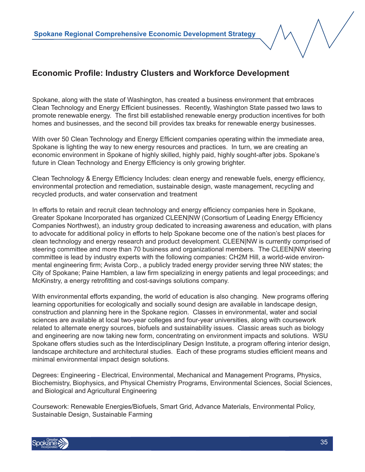Spokane, along with the state of Washington, has created a business environment that embraces Clean Technology and Energy Efficient businesses. Recently, Washington State passed two laws to promote renewable energy. The first bill established renewable energy production incentives for both homes and businesses, and the second bill provides tax breaks for renewable energy businesses.

With over 50 Clean Technology and Energy Efficient companies operating within the immediate area, Spokane is lighting the way to new energy resources and practices. In turn, we are creating an economic environment in Spokane of highly skilled, highly paid, highly sought-after jobs. Spokane's future in Clean Technology and Energy Efficiency is only growing brighter.

Clean Technology & Energy Efficiency Includes: clean energy and renewable fuels, energy efficiency, environmental protection and remediation, sustainable design, waste management, recycling and recycled products, and water conservation and treatment

In efforts to retain and recruit clean technology and energy efficiency companies here in Spokane, Greater Spokane Incorporated has organized CLEEN|NW (Consortium of Leading Energy Efficiency Companies Northwest), an industry group dedicated to increasing awareness and education, with plans to advocate for additional policy in efforts to help Spokane become one of the nation's best places for clean technology and energy research and product development. CLEEN|NW is currently comprised of steering committee and more than 70 business and organizational members. The CLEEN|NW steering committee is lead by industry experts with the following companies: CH2M Hill, a world-wide environmental engineering firm; Avista Corp., a publicly traded energy provider serving three NW states; the City of Spokane; Paine Hamblen, a law firm specializing in energy patients and legal proceedings; and McKinstry, a energy retrofitting and cost-savings solutions company.

With environmental efforts expanding, the world of education is also changing. New programs offering learning opportunities for ecologically and socially sound design are available in landscape design, construction and planning here in the Spokane region. Classes in environmental, water and social sciences are available at local two-year colleges and four-year universities, along with coursework related to alternate energy sources, biofuels and sustainability issues. Classic areas such as biology and engineering are now taking new form, concentrating on environment impacts and solutions. WSU Spokane offers studies such as the Interdisciplinary Design Institute, a program offering interior design, landscape architecture and architectural studies. Each of these programs studies efficient means and minimal environmental impact design solutions.

Degrees: Engineering - Electrical, Environmental, Mechanical and Management Programs, Physics, Biochemistry, Biophysics, and Physical Chemistry Programs, Environmental Sciences, Social Sciences, and Biological and Agricultural Engineering

Coursework: Renewable Energies/Biofuels, Smart Grid, Advance Materials, Environmental Policy, Sustainable Design, Sustainable Farming

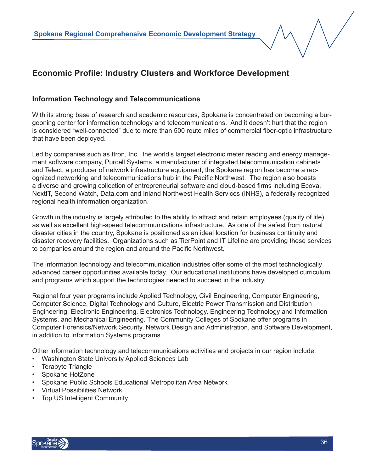#### **Information Technology and Telecommunications**

With its strong base of research and academic resources, Spokane is concentrated on becoming a burgeoning center for information technology and telecommunications. And it doesn't hurt that the region is considered "well-connected" due to more than 500 route miles of commercial fiber-optic infrastructure that have been deployed.

Led by companies such as Itron, Inc., the world's largest electronic meter reading and energy management software company, Purcell Systems, a manufacturer of integrated telecommunication cabinets and Telect, a producer of network infrastructure equipment, the Spokane region has become a recognized networking and telecommunications hub in the Pacific Northwest. The region also boasts a diverse and growing collection of entrepreneurial software and cloud-based firms including Ecova, NextIT, Second Watch, Data.com and Inland Northwest Health Services (INHS), a federally recognized regional health information organization.

Growth in the industry is largely attributed to the ability to attract and retain employees (quality of life) as well as excellent high-speed telecommunications infrastructure. As one of the safest from natural disaster cities in the country, Spokane is positioned as an ideal location for business continuity and disaster recovery facilities. Organizations such as TierPoint and IT Lifeline are providing these services to companies around the region and around the Pacific Northwest.

The information technology and telecommunication industries offer some of the most technologically advanced career opportunities available today. Our educational institutions have developed curriculum and programs which support the technologies needed to succeed in the industry.

Regional four year programs include Applied Technology, Civil Engineering, Computer Engineering, Computer Science, Digital Technology and Culture, Electric Power Transmission and Distribution Engineering, Electronic Engineering, Electronics Technology, Engineering Technology and Information Systems, and Mechanical Engineering. The Community Colleges of Spokane offer programs in Computer Forensics/Network Security, Network Design and Administration, and Software Development, in addition to Information Systems programs.

Other information technology and telecommunications activities and projects in our region include:

- Washington State University Applied Sciences Lab
- **Terabyte Triangle**
- Spokane HotZone
- Spokane Public Schools Educational Metropolitan Area Network
- Virtual Possibilities Network
- Top US Intelligent Community

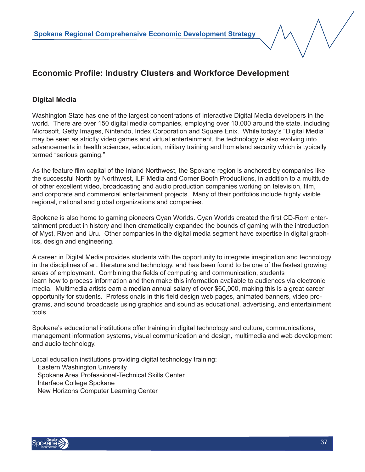#### **Digital Media**

Washington State has one of the largest concentrations of Interactive Digital Media developers in the world. There are over 150 digital media companies, employing over 10,000 around the state, including Microsoft, Getty Images, Nintendo, Index Corporation and Square Enix. While today's "Digital Media" may be seen as strictly video games and virtual entertainment, the technology is also evolving into advancements in health sciences, education, military training and homeland security which is typically termed "serious gaming."

As the feature film capital of the Inland Northwest, the Spokane region is anchored by companies like the successful North by Northwest, ILF Media and Corner Booth Productions, in addition to a multitude of other excellent video, broadcasting and audio production companies working on television, film, and corporate and commercial entertainment projects. Many of their portfolios include highly visible regional, national and global organizations and companies.

Spokane is also home to gaming pioneers Cyan Worlds. Cyan Worlds created the first CD-Rom entertainment product in history and then dramatically expanded the bounds of gaming with the introduction of Myst, Riven and Uru. Other companies in the digital media segment have expertise in digital graphics, design and engineering.

A career in Digital Media provides students with the opportunity to integrate imagination and technology in the disciplines of art, literature and technology, and has been found to be one of the fastest growing areas of employment. Combining the fields of computing and communication, students learn how to process information and then make this information available to audiences via electronic media. Multimedia artists earn a median annual salary of over \$60,000, making this is a great career opportunity for students. Professionals in this field design web pages, animated banners, video programs, and sound broadcasts using graphics and sound as educational, advertising, and entertainment tools.

Spokane's educational institutions offer training in digital technology and culture, communications, management information systems, visual communication and design, multimedia and web development and audio technology.

Local education institutions providing digital technology training: Eastern Washington University Spokane Area Professional-Technical Skills Center Interface College Spokane New Horizons Computer Learning Center

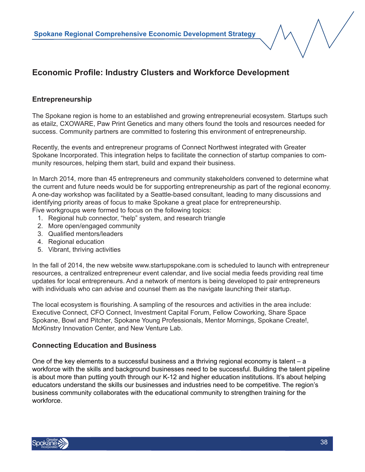#### **Entrepreneurship**

The Spokane region is home to an established and growing entrepreneurial ecosystem. Startups such as etailz, CXOWARE, Paw Print Genetics and many others found the tools and resources needed for success. Community partners are committed to fostering this environment of entrepreneurship.

Recently, the events and entrepreneur programs of Connect Northwest integrated with Greater Spokane Incorporated. This integration helps to facilitate the connection of startup companies to community resources, helping them start, build and expand their business.

In March 2014, more than 45 entrepreneurs and community stakeholders convened to determine what the current and future needs would be for supporting entrepreneurship as part of the regional economy. A one-day workshop was facilitated by a Seattle-based consultant, leading to many discussions and identifying priority areas of focus to make Spokane a great place for entrepreneurship. Five workgroups were formed to focus on the following topics:

1. Regional hub connector, "help" system, and research triangle

- 2. More open/engaged community
- 3. Qualified mentors/leaders
- 4. Regional education
- 5. Vibrant, thriving activities

In the fall of 2014, the new website www.startupspokane.com is scheduled to launch with entrepreneur resources, a centralized entrepreneur event calendar, and live social media feeds providing real time updates for local entrepreneurs. And a network of mentors is being developed to pair entrepreneurs with individuals who can advise and counsel them as the navigate launching their startup.

The local ecosystem is flourishing. A sampling of the resources and activities in the area include: Executive Connect, CFO Connect, Investment Capital Forum, Fellow Coworking, Share Space Spokane, Bowl and Pitcher, Spokane Young Professionals, Mentor Mornings, Spokane Create!, McKinstry Innovation Center, and New Venture Lab.

#### **Connecting Education and Business**

One of the key elements to a successful business and a thriving regional economy is talent – a workforce with the skills and background businesses need to be successful. Building the talent pipeline is about more than putting youth through our K-12 and higher education institutions. It's about helping educators understand the skills our businesses and industries need to be competitive. The region's business community collaborates with the educational community to strengthen training for the workforce.

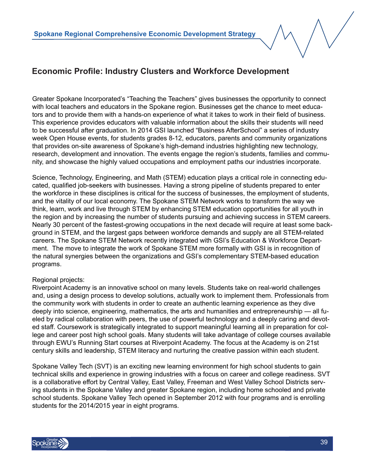Greater Spokane Incorporated's "Teaching the Teachers" gives businesses the opportunity to connect with local teachers and educators in the Spokane region. Businesses get the chance to meet educators and to provide them with a hands-on experience of what it takes to work in their field of business. This experience provides educators with valuable information about the skills their students will need to be successful after graduation. In 2014 GSI launched "Business AfterSchool" a series of industry week Open House events, for students grades 8-12, educators, parents and community organizations that provides on-site awareness of Spokane's high-demand industries highlighting new technology, research, development and innovation. The events engage the region's students, families and community, and showcase the highly valued occupations and employment paths our industries incorporate.

Science, Technology, Engineering, and Math (STEM) education plays a critical role in connecting educated, qualified job-seekers with businesses. Having a strong pipeline of students prepared to enter the workforce in these disciplines is critical for the success of businesses, the employment of students, and the vitality of our local economy. The Spokane STEM Network works to transform the way we think, learn, work and live through STEM by enhancing STEM education opportunities for all youth in the region and by increasing the number of students pursuing and achieving success in STEM careers. Nearly 30 percent of the fastest-growing occupations in the next decade will require at least some background in STEM, and the largest gaps between workforce demands and supply are all STEM-related careers. The Spokane STEM Network recently integrated with GSI's Education & Workforce Department. The move to integrate the work of Spokane STEM more formally with GSI is in recognition of the natural synergies between the organizations and GSI's complementary STEM-based education programs.

#### Regional projects:

Riverpoint Academy is an innovative school on many levels. Students take on real-world challenges and, using a design process to develop solutions, actually work to implement them. Professionals from the community work with students in order to create an authentic learning experience as they dive deeply into science, engineering, mathematics, the arts and humanities and entrepreneurship — all fueled by radical collaboration with peers, the use of powerful technology and a deeply caring and devoted staff. Coursework is strategically integrated to support meaningful learning all in preparation for college and career post high school goals. Many students will take advantage of college courses available through EWU's Running Start courses at Riverpoint Academy. The focus at the Academy is on 21st century skills and leadership, STEM literacy and nurturing the creative passion within each student.

Spokane Valley Tech (SVT) is an exciting new learning environment for high school students to gain technical skills and experience in growing industries with a focus on career and college readiness. SVT is a collaborative effort by Central Valley, East Valley, Freeman and West Valley School Districts serving students in the Spokane Valley and greater Spokane region, including home schooled and private school students. Spokane Valley Tech opened in September 2012 with four programs and is enrolling students for the 2014/2015 year in eight programs.

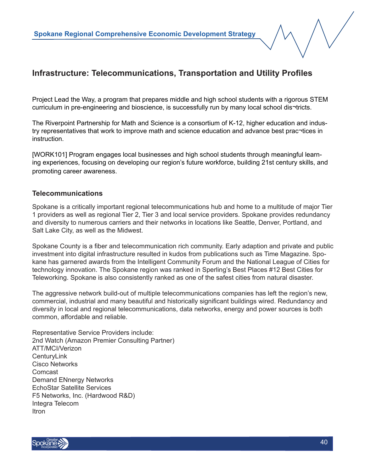Project Lead the Way, a program that prepares middle and high school students with a rigorous STEM curriculum in pre-engineering and bioscience, is successfully run by many local school dis¬tricts.

The Riverpoint Partnership for Math and Science is a consortium of K-12, higher education and industry representatives that work to improve math and science education and advance best prac¬tices in instruction.

[WORK101] Program engages local businesses and high school students through meaningful learning experiences, focusing on developing our region's future workforce, building 21st century skills, and promoting career awareness.

#### **Telecommunications**

Spokane is a critically important regional telecommunications hub and home to a multitude of major Tier 1 providers as well as regional Tier 2, Tier 3 and local service providers. Spokane provides redundancy and diversity to numerous carriers and their networks in locations like Seattle, Denver, Portland, and Salt Lake City, as well as the Midwest.

Spokane County is a fiber and telecommunication rich community. Early adaption and private and public investment into digital infrastructure resulted in kudos from publications such as Time Magazine. Spokane has garnered awards from the Intelligent Community Forum and the National League of Cities for technology innovation. The Spokane region was ranked in Sperling's Best Places #12 Best Cities for Teleworking. Spokane is also consistently ranked as one of the safest cities from natural disaster.

The aggressive network build-out of multiple telecommunications companies has left the region's new, commercial, industrial and many beautiful and historically significant buildings wired. Redundancy and diversity in local and regional telecommunications, data networks, energy and power sources is both common, affordable and reliable.

Representative Service Providers include: 2nd Watch (Amazon Premier Consulting Partner) ATT/MCI/Verizon **CenturyLink** Cisco Networks Comcast Demand ENnergy Networks EchoStar Satellite Services F5 Networks, Inc. (Hardwood R&D) Integra Telecom Itron

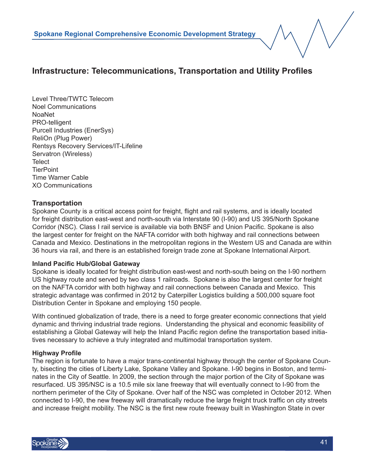Level Three/TWTC Telecom Noel Communications NoaNet PRO-telligent Purcell Industries (EnerSys) ReliOn (Plug Power) Rentsys Recovery Services/IT-Lifeline Servatron (Wireless) **Telect TierPoint** Time Warner Cable XO Communications

#### **Transportation**

Spokane County is a critical access point for freight, flight and rail systems, and is ideally located for freight distribution east-west and north-south via Interstate 90 (I-90) and US 395/North Spokane Corridor (NSC). Class I rail service is available via both BNSF and Union Pacific. Spokane is also the largest center for freight on the NAFTA corridor with both highway and rail connections between Canada and Mexico. Destinations in the metropolitan regions in the Western US and Canada are within 36 hours via rail, and there is an established foreign trade zone at Spokane International Airport.

#### **Inland Pacific Hub/Global Gateway**

Spokane is ideally located for freight distribution east-west and north-south being on the I-90 northern US highway route and served by two class 1 railroads. Spokane is also the largest center for freight on the NAFTA corridor with both highway and rail connections between Canada and Mexico. This strategic advantage was confirmed in 2012 by Caterpiller Logistics building a 500,000 square foot Distribution Center in Spokane and employing 150 people.

With continued globalization of trade, there is a need to forge greater economic connections that yield dynamic and thriving industrial trade regions. Understanding the physical and economic feasibility of establishing a Global Gateway will help the Inland Pacific region define the transportation based initiatives necessary to achieve a truly integrated and multimodal transportation system.

#### **Highway Profile**

The region is fortunate to have a major trans-continental highway through the center of Spokane County, bisecting the cities of Liberty Lake, Spokane Valley and Spokane. I-90 begins in Boston, and terminates in the City of Seattle. In 2009, the section through the major portion of the City of Spokane was resurfaced. US 395/NSC is a 10.5 mile six lane freeway that will eventually connect to I-90 from the northern perimeter of the City of Spokane. Over half of the NSC was completed in October 2012. When connected to I-90, the new freeway will dramatically reduce the large freight truck traffic on city streets and increase freight mobility. The NSC is the first new route freeway built in Washington State in over

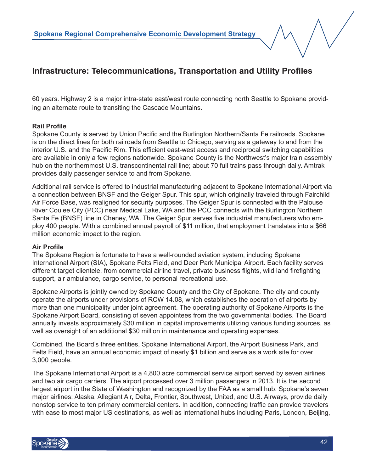60 years. Highway 2 is a major intra-state east/west route connecting north Seattle to Spokane providing an alternate route to transiting the Cascade Mountains.

#### **Rail Profile**

Spokane County is served by Union Pacific and the Burlington Northern/Santa Fe railroads. Spokane is on the direct lines for both railroads from Seattle to Chicago, serving as a gateway to and from the interior U.S. and the Pacific Rim. This efficient east-west access and reciprocal switching capabilities are available in only a few regions nationwide. Spokane County is the Northwest's major train assembly hub on the northernmost U.S. transcontinental rail line; about 70 full trains pass through daily. Amtrak provides daily passenger service to and from Spokane.

Additional rail service is offered to industrial manufacturing adjacent to Spokane International Airport via a connection between BNSF and the Geiger Spur. This spur, which originally traveled through Fairchild Air Force Base, was realigned for security purposes. The Geiger Spur is connected with the Palouse River Coulee City (PCC) near Medical Lake, WA and the PCC connects with the Burlington Northern Santa Fe (BNSF) line in Cheney, WA. The Geiger Spur serves five industrial manufacturers who employ 400 people. With a combined annual payroll of \$11 million, that employment translates into a \$66 million economic impact to the region.

#### **Air Profile**

The Spokane Region is fortunate to have a well-rounded aviation system, including Spokane International Airport (SIA), Spokane Felts Field, and Deer Park Municipal Airport. Each facility serves different target clientele, from commercial airline travel, private business flights, wild land firefighting support, air ambulance, cargo service, to personal recreational use.

Spokane Airports is jointly owned by Spokane County and the City of Spokane. The city and county operate the airports under provisions of RCW 14.08, which establishes the operation of airports by more than one municipality under joint agreement. The operating authority of Spokane Airports is the Spokane Airport Board, consisting of seven appointees from the two governmental bodies. The Board annually invests approximately \$30 million in capital improvements utilizing various funding sources, as well as oversight of an additional \$30 million in maintenance and operating expenses.

Combined, the Board's three entities, Spokane International Airport, the Airport Business Park, and Felts Field, have an annual economic impact of nearly \$1 billion and serve as a work site for over 3,000 people.

The Spokane International Airport is a 4,800 acre commercial service airport served by seven airlines and two air cargo carriers. The airport processed over 3 million passengers in 2013. It is the second largest airport in the State of Washington and recognized by the FAA as a small hub. Spokane's seven major airlines: Alaska, Allegiant Air, Delta, Frontier, Southwest, United, and U.S. Airways, provide daily nonstop service to ten primary commercial centers. In addition, connecting traffic can provide travelers with ease to most major US destinations, as well as international hubs including Paris, London, Beijing,

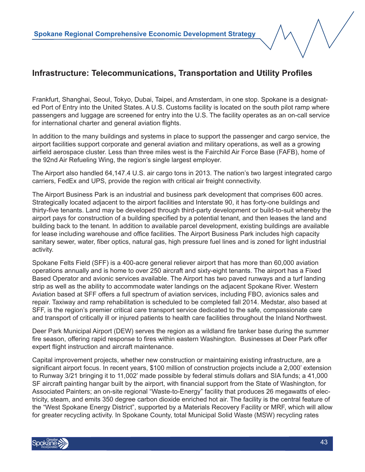Frankfurt, Shanghai, Seoul, Tokyo, Dubai, Taipei, and Amsterdam, in one stop. Spokane is a designated Port of Entry into the United States. A U.S. Customs facility is located on the south pilot ramp where passengers and luggage are screened for entry into the U.S. The facility operates as an on-call service for international charter and general aviation flights.

In addition to the many buildings and systems in place to support the passenger and cargo service, the airport facilities support corporate and general aviation and military operations, as well as a growing airfield aerospace cluster. Less than three miles west is the Fairchild Air Force Base (FAFB), home of the 92nd Air Refueling Wing, the region's single largest employer.

The Airport also handled 64,147.4 U.S. air cargo tons in 2013. The nation's two largest integrated cargo carriers, FedEx and UPS, provide the region with critical air freight connectivity.

The Airport Business Park is an industrial and business park development that comprises 600 acres. Strategically located adjacent to the airport facilities and Interstate 90, it has forty-one buildings and thirty-five tenants. Land may be developed through third-party development or build-to-suit whereby the airport pays for construction of a building specified by a potential tenant, and then leases the land and building back to the tenant. In addition to available parcel development, existing buildings are available for lease including warehouse and office facilities. The Airport Business Park includes high capacity sanitary sewer, water, fiber optics, natural gas, high pressure fuel lines and is zoned for light industrial activity.

Spokane Felts Field (SFF) is a 400-acre general reliever airport that has more than 60,000 aviation operations annually and is home to over 250 aircraft and sixty-eight tenants. The airport has a Fixed Based Operator and avionic services available. The Airport has two paved runways and a turf landing strip as well as the ability to accommodate water landings on the adjacent Spokane River. Western Aviation based at SFF offers a full spectrum of aviation services, including FBO, avionics sales and repair. Taxiway and ramp rehabilitation is scheduled to be completed fall 2014. Medstar, also based at SFF, is the region's premier critical care transport service dedicated to the safe, compassionate care and transport of critically ill or injured patients to health care facilities throughout the Inland Northwest.

Deer Park Municipal Airport (DEW) serves the region as a wildland fire tanker base during the summer fire season, offering rapid response to fires within eastern Washington. Businesses at Deer Park offer expert flight instruction and aircraft maintenance.

Capital improvement projects, whether new construction or maintaining existing infrastructure, are a significant airport focus. In recent years, \$100 million of construction projects include a 2,000' extension to Runway 3/21 bringing it to 11,002' made possible by federal stimuls dollars and SIA funds; a 41,000 SF aircraft painting hangar built by the airport, with financial support from the State of Washington, for Associated Painters; an on-site regional "Waste-to-Energy" facility that produces 26 megawatts of electricity, steam, and emits 350 degree carbon dioxide enriched hot air. The facility is the central feature of the "West Spokane Energy District", supported by a Materials Recovery Facility or MRF, which will allow for greater recycling activity. In Spokane County, total Municipal Solid Waste (MSW) recycling rates

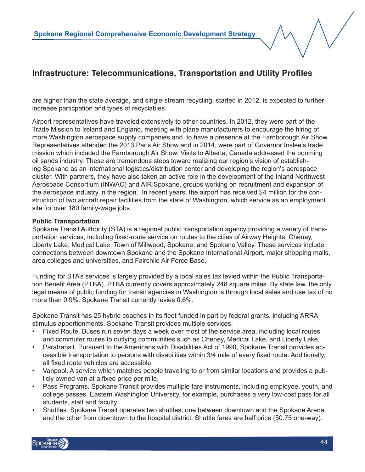are higher than the state average, and single-stream recycling, started in 2012, is expected to further increase particpation and types of recyclables.

Airport representatives have traveled extensively to other countries. In 2012, they were part of the Trade Mission to Ireland and England, meeting with plane manufacturers to encourage the hiring of more Washington aerospace supply companies and to have a presence at the Farnborough Air Show. Representatives attended the 2013 Paris Air Show and in 2014, were part of Governor Inslee's trade mission which included the Farnborough Air Show. Visits to Alberta, Canada addressed the booming oil sands industry. These are tremendous steps toward realizing our region's vision of establishing Spokane as an international logistics/distribution center and developing the region's aerospace cluster. With partners, they have also taken an active role in the development of the Inland Northwest Aerospace Consortium (INWAC) and AIR Spokane, groups working on recruitment and expansion of the aerospace industry in the region. In recent years, the airport has received \$4 million for the construction of two aircraft repair facilities from the state of Washington, which service as an employment site for over 180 family-wage jobs.

#### **Public Transportation**

Spokane Transit Authority (STA) is a regional public transportation agency providing a variety of transportation services, including fixed-route service on routes to the cities of Airway Heights, Cheney, Liberty Lake, Medical Lake, Town of Millwood, Spokane, and Spokane Valley. These services include connections between downtown Spokane and the Spokane International Airport, major shopping malls, area colleges and universities, and Fairchild Air Force Base.

Funding for STA's services is largely provided by a local sales tax levied within the Public Transportation Benefit Area (PTBA). PTBA currently covers approximately 248 square miles. By state law, the only legal means of public funding for transit agencies in Washington is through local sales and use tax of no more than 0.9%. Spokane Transit currently levies 0.6%.

Spokane Transit has 25 hybrid coaches in its fleet funded in part by federal grants, including ARRA stimulus apportionments. Spokane Transit provides multiple services:

- Fixed Route. Buses run seven days a week over most of the service area, including local routes and commuter routes to outlying communities such as Cheney, Medical Lake, and Liberty Lake.
- Paratransit. Pursuant to the Americans with Disabilities Act of 1990, Spokane Transit provides accessible transportation to persons with disabilities within 3/4 mile of every fixed route. Additionally, all fixed route vehicles are accessible.
- Vanpool. A service which matches people traveling to or from similar locations and provides a publicly owned van at a fixed price per mile.
- Pass Programs. Spokane Transit provides multiple fare instruments, including employee, youth, and college passes. Eastern Washington University, for example, purchases a very low-cost pass for all students, staff and faculty.
- Shuttles. Spokane Transit operates two shuttles, one between downtown and the Spokane Arena, and the other from downtown to the hospital district. Shuttle fares are half price (\$0.75 one-way).

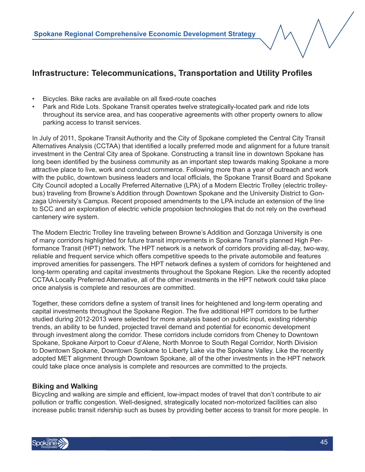- Bicycles. Bike racks are available on all fixed-route coaches
- Park and Ride Lots. Spokane Transit operates twelve strategically-located park and ride lots throughout its service area, and has cooperative agreements with other property owners to allow parking access to transit services.

In July of 2011, Spokane Transit Authority and the City of Spokane completed the Central City Transit Alternatives Analysis (CCTAA) that identified a locally preferred mode and alignment for a future transit investment in the Central City area of Spokane. Constructing a transit line in downtown Spokane has long been identified by the business community as an important step towards making Spokane a more attractive place to live, work and conduct commerce. Following more than a year of outreach and work with the public, downtown business leaders and local officials, the Spokane Transit Board and Spokane City Council adopted a Locally Preferred Alternative (LPA) of a Modern Electric Trolley (electric trolleybus) traveling from Browne's Addition through Downtown Spokane and the University District to Gonzaga University's Campus. Recent proposed amendments to the LPA include an extension of the line to SCC and an exploration of electric vehicle propolsion technologies that do not rely on the overhead cantenery wire system.

The Modern Electric Trolley line traveling between Browne's Addition and Gonzaga University is one of many corridors highlighted for future transit improvements in Spokane Transit's planned High Performance Transit (HPT) network. The HPT network is a network of corridors providing all-day, two-way, reliable and frequent service which offers competitive speeds to the private automobile and features improved amenities for passengers. The HPT network defines a system of corridors for heightened and long-term operating and capital investments throughout the Spokane Region. Like the recently adopted CCTAA Locally Preferred Alternative, all of the other investments in the HPT network could take place once analysis is complete and resources are committed.

Together, these corridors define a system of transit lines for heightened and long-term operating and capital investments throughout the Spokane Region. The five additional HPT corridors to be further studied during 2012-2013 were selected for more analysis based on public input, existing ridership trends, an ability to be funded, projected travel demand and potential for economic development through investment along the corridor. These corridors include corridors from Cheney to Downtown Spokane, Spokane Airport to Coeur d'Alene, North Monroe to South Regal Corridor, North Division to Downtown Spokane, Downtown Spokane to Liberty Lake via the Spokane Valley. Like the recently adopted MET alignment through Downtown Spokane, all of the other investments in the HPT network could take place once analysis is complete and resources are committed to the projects.

#### **Biking and Walking**

Bicycling and walking are simple and efficient, low-impact modes of travel that don't contribute to air pollution or traffic congestion. Well-designed, strategically located non-motorized facilities can also increase public transit ridership such as buses by providing better access to transit for more people. In

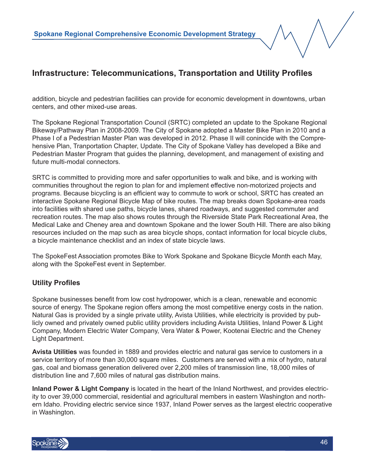addition, bicycle and pedestrian facilities can provide for economic development in downtowns, urban centers, and other mixed-use areas.

The Spokane Regional Transportation Council (SRTC) completed an update to the Spokane Regional Bikeway/Pathway Plan in 2008-2009. The City of Spokane adopted a Master Bike Plan in 2010 and a Phase I of a Pedestrian Master Plan was developed in 2012. Phase II will conincide with the Comprehensive Plan, Tranportation Chapter, Update. The City of Spokane Valley has developed a Bike and Pedestrian Master Program that guides the planning, development, and management of existing and future multi-modal connectors.

SRTC is committed to providing more and safer opportunities to walk and bike, and is working with communities throughout the region to plan for and implement effective non-motorized projects and programs. Because bicycling is an efficient way to commute to work or school, SRTC has created an interactive Spokane Regional Bicycle Map of bike routes. The map breaks down Spokane-area roads into facilities with shared use paths, bicycle lanes, shared roadways, and suggested commuter and recreation routes. The map also shows routes through the Riverside State Park Recreational Area, the Medical Lake and Cheney area and downtown Spokane and the lower South Hill. There are also biking resources included on the map such as area bicycle shops, contact information for local bicycle clubs, a bicycle maintenance checklist and an index of state bicycle laws.

The SpokeFest Association promotes Bike to Work Spokane and Spokane Bicycle Month each May, along with the SpokeFest event in September.

#### **Utility Profiles**

Spokane businesses benefit from low cost hydropower, which is a clean, renewable and economic source of energy. The Spokane region offers among the most competitive energy costs in the nation. Natural Gas is provided by a single private utility, Avista Utilities, while electricity is provided by publicly owned and privately owned public utility providers including Avista Utilities, Inland Power & Light Company, Modern Electric Water Company, Vera Water & Power, Kootenai Electric and the Cheney Light Department.

**Avista Utilities** was founded in 1889 and provides electric and natural gas service to customers in a service territory of more than 30,000 square miles. Customers are served with a mix of hydro, natural gas, coal and biomass generation delivered over 2,200 miles of transmission line, 18,000 miles of distribution line and 7,600 miles of natural gas distribution mains.

**Inland Power & Light Company** is located in the heart of the Inland Northwest, and provides electricity to over 39,000 commercial, residential and agricultural members in eastern Washington and northern Idaho. Providing electric service since 1937, Inland Power serves as the largest electric cooperative in Washington.

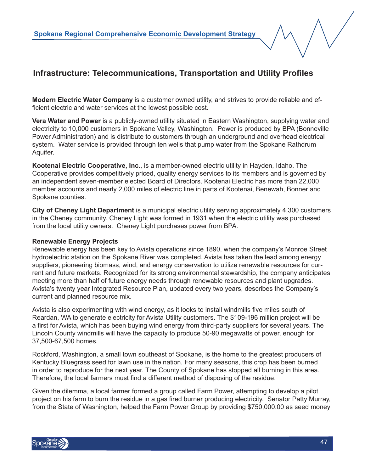**Modern Electric Water Company** is a customer owned utility, and strives to provide reliable and efficient electric and water services at the lowest possible cost.

**Vera Water and Power** is a publicly-owned utility situated in Eastern Washington, supplying water and electricity to 10,000 customers in Spokane Valley, Washington. Power is produced by BPA (Bonneville Power Administration) and is distribute to customers through an underground and overhead electrical system. Water service is provided through ten wells that pump water from the Spokane Rathdrum Aquifer.

**Kootenai Electric Cooperative, Inc**., is a member-owned electric utility in Hayden, Idaho. The Cooperative provides competitively priced, quality energy services to its members and is governed by an independent seven-member elected Board of Directors. Kootenai Electric has more than 22,000 member accounts and nearly 2,000 miles of electric line in parts of Kootenai, Benewah, Bonner and Spokane counties.

**City of Cheney Light Department** is a municipal electric utility serving approximately 4,300 customers in the Cheney community. Cheney Light was formed in 1931 when the electric utility was purchased from the local utility owners. Cheney Light purchases power from BPA.

#### **Renewable Energy Projects**

Renewable energy has been key to Avista operations since 1890, when the company's Monroe Street hydroelectric station on the Spokane River was completed. Avista has taken the lead among energy suppliers, pioneering biomass, wind, and energy conservation to utilize renewable resources for current and future markets. Recognized for its strong environmental stewardship, the company anticipates meeting more than half of future energy needs through renewable resources and plant upgrades. Avista's twenty year Integrated Resource Plan, updated every two years, describes the Company's current and planned resource mix.

Avista is also experimenting with wind energy, as it looks to install windmills five miles south of Reardan, WA to generate electricity for Avista Utility customers. The \$109-196 million project will be a first for Avista, which has been buying wind energy from third-party suppliers for several years. The Lincoln County windmills will have the capacity to produce 50-90 megawatts of power, enough for 37,500-67,500 homes.

Rockford, Washington, a small town southeast of Spokane, is the home to the greatest producers of Kentucky Bluegrass seed for lawn use in the nation. For many seasons, this crop has been burned in order to reproduce for the next year. The County of Spokane has stopped all burning in this area. Therefore, the local farmers must find a different method of disposing of the residue.

Given the dilemma, a local farmer formed a group called Farm Power, attempting to develop a pilot project on his farm to burn the residue in a gas fired burner producing electricity. Senator Patty Murray, from the State of Washington, helped the Farm Power Group by providing \$750,000.00 as seed money

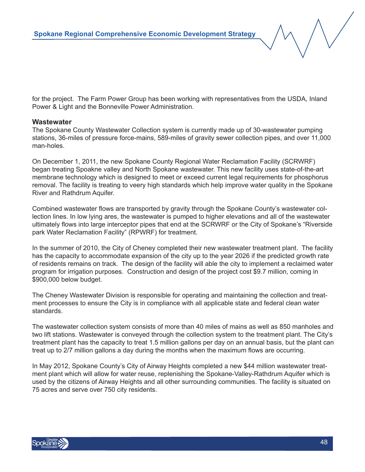for the project. The Farm Power Group has been working with representatives from the USDA, Inland Power & Light and the Bonneville Power Administration.

#### **Wastewater**

The Spokane County Wastewater Collection system is currently made up of 30-wastewater pumping stations, 36-miles of pressure force-mains, 589-miles of gravity sewer collection pipes, and over 11,000 man-holes.

On December 1, 2011, the new Spokane County Regional Water Reclamation Facility (SCRWRF) began treating Spoakne valley and North Spokane wastewater. This new facility uses state-of-the-art membrane technology which is designed to meet or exceed current legal requirements for phosphorus removal. The facility is treating to veery high standards which help improve water quality in the Spokane River and Rathdrum Aquifer.

Combined wastewater flows are transported by gravity through the Spokane County's wastewater collection lines. In low lying ares, the wastewater is pumped to higher elevations and all of the wastewater ultimately flows into large interceptor pipes that end at the SCRWRF or the City of Spokane's "Riverside park Water Reclamation Facility" (RPWRF) for treatment.

In the summer of 2010, the City of Cheney completed their new wastewater treatment plant. The facility has the capacity to accommodate expansion of the city up to the year 2026 if the predicted growth rate of residents remains on track. The design of the facility will able the city to implement a reclaimed water program for irrigation purposes. Construction and design of the project cost \$9.7 million, coming in \$900,000 below budget.

The Cheney Wastewater Division is responsible for operating and maintaining the collection and treatment processes to ensure the City is in compliance with all applicable state and federal clean water standards.

The wastewater collection system consists of more than 40 miles of mains as well as 850 manholes and two lift stations. Wastewater is conveyed through the collection system to the treatment plant. The City's treatment plant has the capacity to treat 1.5 million gallons per day on an annual basis, but the plant can treat up to 2/7 million gallons a day during the months when the maximum flows are occurring.

In May 2012, Spokane County's City of Airway Heights completed a new \$44 million wastewater treatment plant which will allow for water reuse, replenishing the Spokane-Valley-Rathdrum Aquifer which is used by the citizens of Airway Heights and all other surrounding communities. The facility is situated on 75 acres and serve over 750 city residents.

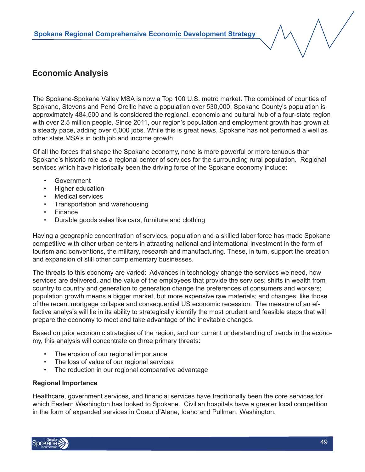## **Economic Analysis**

The Spokane-Spokane Valley MSA is now a Top 100 U.S. metro market. The combined of counties of Spokane, Stevens and Pend Oreille have a population over 530,000. Spokane County's population is approximately 484,500 and is considered the regional, economic and cultural hub of a four-state region with over 2.5 million people. Since 2011, our region's population and employment growth has grown at a steady pace, adding over 6,000 jobs. While this is great news, Spokane has not performed a well as other state MSA's in both job and income growth.

Of all the forces that shape the Spokane economy, none is more powerful or more tenuous than Spokane's historic role as a regional center of services for the surrounding rural population. Regional services which have historically been the driving force of the Spokane economy include:

- **Government**
- Higher education
- Medical services
- Transportation and warehousing
- Finance
- Durable goods sales like cars, furniture and clothing

Having a geographic concentration of services, population and a skilled labor force has made Spokane competitive with other urban centers in attracting national and international investment in the form of tourism and conventions, the military, research and manufacturing. These, in turn, support the creation and expansion of still other complementary businesses.

The threats to this economy are varied: Advances in technology change the services we need, how services are delivered, and the value of the employees that provide the services; shifts in wealth from country to country and generation to generation change the preferences of consumers and workers; population growth means a bigger market, but more expensive raw materials; and changes, like those of the recent mortgage collapse and consequential US economic recession. The measure of an effective analysis will lie in its ability to strategically identify the most prudent and feasible steps that will prepare the economy to meet and take advantage of the inevitable changes.

Based on prior economic strategies of the region, and our current understanding of trends in the economy, this analysis will concentrate on three primary threats:

- The erosion of our regional importance
- The loss of value of our regional services
- The reduction in our regional comparative advantage

#### **Regional Importance**

Healthcare, government services, and financial services have traditionally been the core services for which Eastern Washington has looked to Spokane. Civilian hospitals have a greater local competition in the form of expanded services in Coeur d'Alene, Idaho and Pullman, Washington.

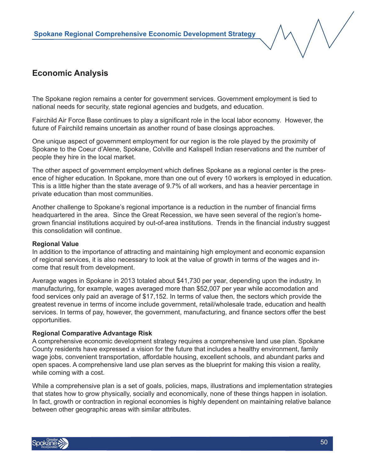

## **Economic Analysis**

The Spokane region remains a center for government services. Government employment is tied to national needs for security, state regional agencies and budgets, and education.

Fairchild Air Force Base continues to play a significant role in the local labor economy. However, the future of Fairchild remains uncertain as another round of base closings approaches.

One unique aspect of government employment for our region is the role played by the proximity of Spokane to the Coeur d'Alene, Spokane, Colville and Kalispell Indian reservations and the number of people they hire in the local market.

The other aspect of government employment which defines Spokane as a regional center is the presence of higher education. In Spokane, more than one out of every 10 workers is employed in education. This is a little higher than the state average of 9.7% of all workers, and has a heavier percentage in private education than most communities.

Another challenge to Spokane's regional importance is a reduction in the number of financial firms headquartered in the area. Since the Great Recession, we have seen several of the region's homegrown financial institutions acquired by out-of-area institutions. Trends in the financial industry suggest this consolidation will continue.

#### **Regional Value**

In addition to the importance of attracting and maintaining high employment and economic expansion of regional services, it is also necessary to look at the value of growth in terms of the wages and income that result from development.

Average wages in Spokane in 2013 totaled about \$41,730 per year, depending upon the industry. In manufacturing, for example, wages averaged more than \$52,007 per year while accomodation and food services only paid an average of \$17,152. In terms of value then, the sectors which provide the greatest revenue in terms of income include government, retail/wholesale trade, education and health services. In terms of pay, however, the government, manufacturing, and finance sectors offer the best opportunities.

#### **Regional Comparative Advantage Risk**

A comprehensive economic development strategy requires a comprehensive land use plan. Spokane County residents have expressed a vision for the future that includes a healthy environment, family wage jobs, convenient transportation, affordable housing, excellent schools, and abundant parks and open spaces. A comprehensive land use plan serves as the blueprint for making this vision a reality, while coming with a cost.

While a comprehensive plan is a set of goals, policies, maps, illustrations and implementation strategies that states how to grow physically, socially and economically, none of these things happen in isolation. In fact, growth or contraction in regional economies is highly dependent on maintaining relative balance between other geographic areas with similar attributes.

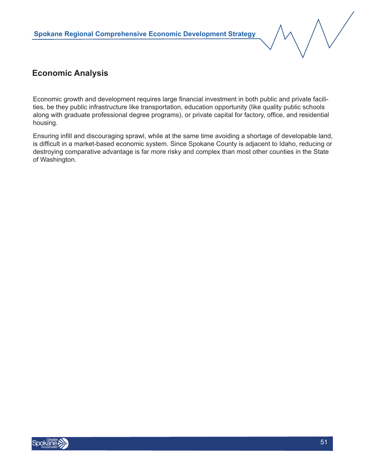

## **Economic Analysis**

Economic growth and development requires large financial investment in both public and private facilities, be they public infrastructure like transportation, education opportunity (like quality public schools along with graduate professional degree programs), or private capital for factory, office, and residential housing.

Ensuring infill and discouraging sprawl, while at the same time avoiding a shortage of developable land, is difficult in a market-based economic system. Since Spokane County is adjacent to Idaho, reducing or destroying comparative advantage is far more risky and complex than most other counties in the State of Washington.

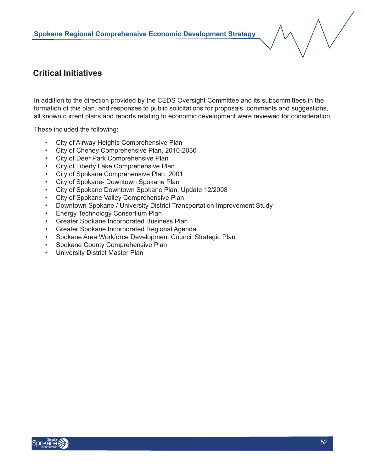## **Critical Initiatives**

In addition to the direction provided by the CEDS Oversight Committee and its subcommittees in the formation of this plan, and responses to public solicitations for proposals, comments and suggestions, all known current plans and reports relating to economic development were reviewed for consideration.

These included the following:

- City of Airway Heights Comprehensive Plan
- City of Cheney Comprehensive Plan, 2010-2030
- City of Deer Park Comprehensive Plan
- City of Liberty Lake Comprehensive Plan
- City of Spokane Comprehensive Plan, 2001
- City of Spokane- Downtown Spokane Plan
- City of Spokane Downtown Spokane Plan, Update 12/2008
- City of Spokane Valley Comprehensive Plan
- Downtown Spokane / University District Transportation Improvement Study
- Energy Technology Consortium Plan
- Greater Spokane Incorporated Business Plan
- Greater Spokane Incorporated Regional Agenda
- Spokane Area Workforce Development Council Strategic Plan
- Spokane County Comprehensive Plan
- University District Master Plan

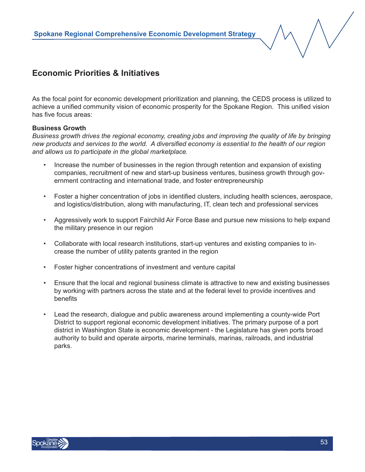## **Economic Priorities & Initiatives**

As the focal point for economic development prioritization and planning, the CEDS process is utilized to achieve a unified community vision of economic prosperity for the Spokane Region. This unified vision has five focus areas:

#### **Business Growth**

*Business growth drives the regional economy, creating jobs and improving the quality of life by bringing new products and services to the world. A diversified economy is essential to the health of our region and allows us to participate in the global marketplace.*

- Increase the number of businesses in the region through retention and expansion of existing companies, recruitment of new and start-up business ventures, business growth through government contracting and international trade, and foster entrepreneurship
- Foster a higher concentration of jobs in identified clusters, including health sciences, aerospace, and logistics/distribution, along with manufacturing, IT, clean tech and professional services
- Aggressively work to support Fairchild Air Force Base and pursue new missions to help expand the military presence in our region
- Collaborate with local research institutions, start-up ventures and existing companies to increase the number of utility patents granted in the region
- Foster higher concentrations of investment and venture capital
- Ensure that the local and regional business climate is attractive to new and existing businesses by working with partners across the state and at the federal level to provide incentives and benefits
- Lead the research, dialogue and public awareness around implementing a county-wide Port District to support regional economic development initiatives. The primary purpose of a port district in Washington State is economic development - the Legislature has given ports broad authority to build and operate airports, marine terminals, marinas, railroads, and industrial parks.

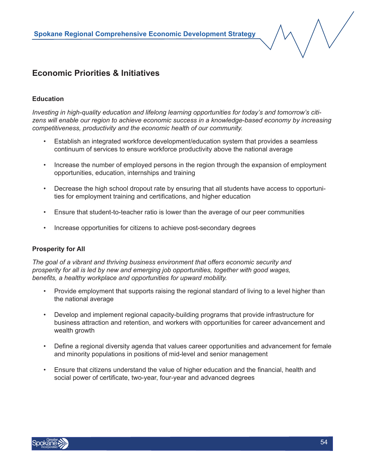## **Economic Priorities & Initiatives**

#### **Education**

*Investing in high-quality education and lifelong learning opportunities for today's and tomorrow's citizens will enable our region to achieve economic success in a knowledge-based economy by increasing competitiveness, productivity and the economic health of our community.*

- Establish an integrated workforce development/education system that provides a seamless continuum of services to ensure workforce productivity above the national average
- Increase the number of employed persons in the region through the expansion of employment opportunities, education, internships and training
- Decrease the high school dropout rate by ensuring that all students have access to opportunities for employment training and certifications, and higher education
- Ensure that student-to-teacher ratio is lower than the average of our peer communities
- Increase opportunities for citizens to achieve post-secondary degrees

#### **Prosperity for All**

*The goal of a vibrant and thriving business environment that offers economic security and prosperity for all is led by new and emerging job opportunities, together with good wages, benefits, a healthy workplace and opportunities for upward mobility.*

- Provide employment that supports raising the regional standard of living to a level higher than the national average
- Develop and implement regional capacity-building programs that provide infrastructure for business attraction and retention, and workers with opportunities for career advancement and wealth growth
- Define a regional diversity agenda that values career opportunities and advancement for female and minority populations in positions of mid-level and senior management
- Ensure that citizens understand the value of higher education and the financial, health and social power of certificate, two-year, four-year and advanced degrees

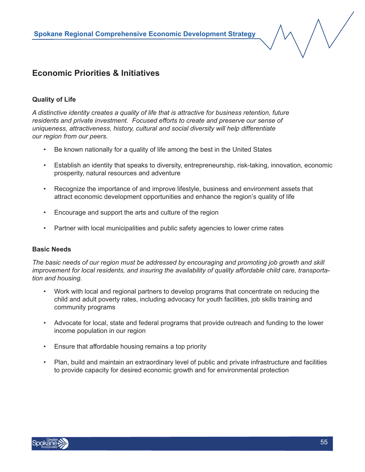## **Economic Priorities & Initiatives**

#### **Quality of Life**

*A distinctive identity creates a quality of life that is attractive for business retention, future residents and private investment. Focused efforts to create and preserve our sense of uniqueness, attractiveness, history, cultural and social diversity will help differentiate our region from our peers.*

- Be known nationally for a quality of life among the best in the United States
- Establish an identity that speaks to diversity, entrepreneurship, risk-taking, innovation, economic prosperity, natural resources and adventure
- Recognize the importance of and improve lifestyle, business and environment assets that attract economic development opportunities and enhance the region's quality of life
- Encourage and support the arts and culture of the region
- Partner with local municipalities and public safety agencies to lower crime rates

#### **Basic Needs**

*The basic needs of our region must be addressed by encouraging and promoting job growth and skill improvement for local residents, and insuring the availability of quality affordable child care, transportation and housing.*

- Work with local and regional partners to develop programs that concentrate on reducing the child and adult poverty rates, including advocacy for youth facilities, job skills training and community programs
- Advocate for local, state and federal programs that provide outreach and funding to the lower income population in our region
- Ensure that affordable housing remains a top priority
- Plan, build and maintain an extraordinary level of public and private infrastructure and facilities to provide capacity for desired economic growth and for environmental protection

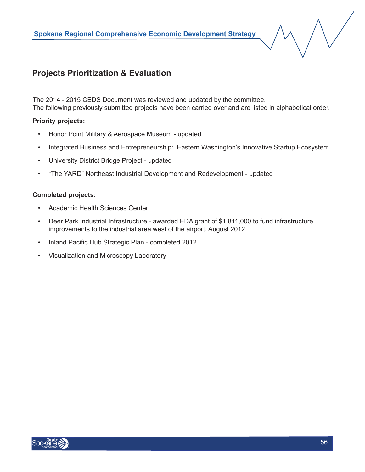## **Projects Prioritization & Evaluation**

The 2014 - 2015 CEDS Document was reviewed and updated by the committee. The following previously submitted projects have been carried over and are listed in alphabetical order.

#### **Priority projects:**

- Honor Point Military & Aerospace Museum updated
- Integrated Business and Entrepreneurship: Eastern Washington's Innovative Startup Ecosystem
- University District Bridge Project updated
- "The YARD" Northeast Industrial Development and Redevelopment updated

#### **Completed projects:**

- Academic Health Sciences Center
- Deer Park Industrial Infrastructure awarded EDA grant of \$1,811,000 to fund infrastructure improvements to the industrial area west of the airport, August 2012
- Inland Pacific Hub Strategic Plan completed 2012
- Visualization and Microscopy Laboratory

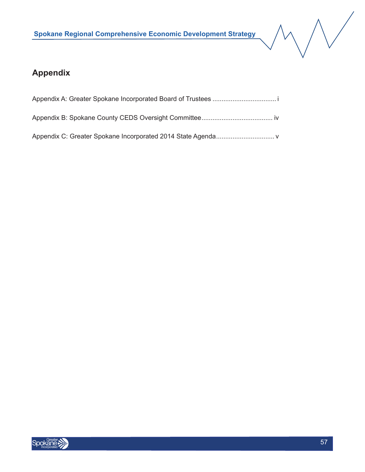

## **Appendix**

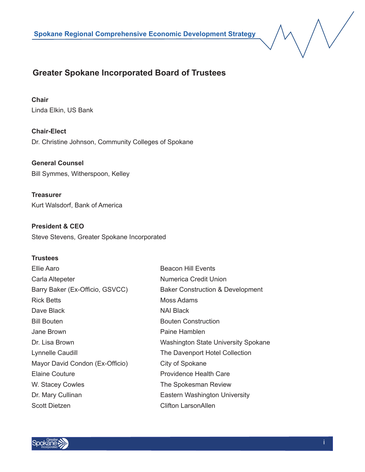## **Greater Spokane Incorporated Board of Trustees**

#### **Chair**

Linda Elkin, US Bank

**Chair-Elect**  Dr. Christine Johnson, Community Colleges of Spokane

**General Counsel** Bill Symmes, Witherspoon, Kelley

**Treasurer** Kurt Walsdorf, Bank of America

**President & CEO** Steve Stevens, Greater Spokane Incorporated

#### **Trustees**

| Ellie Aaro                      | <b>Beacon Hill Events</b>                   |
|---------------------------------|---------------------------------------------|
| Carla Altepeter                 | Numerica Credit Union                       |
| Barry Baker (Ex-Officio, GSVCC) | <b>Baker Construction &amp; Development</b> |
| <b>Rick Betts</b>               | Moss Adams                                  |
| Dave Black                      | NAI Black                                   |
| <b>Bill Bouten</b>              | <b>Bouten Construction</b>                  |
| Jane Brown                      | Paine Hamblen                               |
| Dr. Lisa Brown                  | <b>Washington State University Spokane</b>  |
| Lynnelle Caudill                | The Davenport Hotel Collection              |
| Mayor David Condon (Ex-Officio) | City of Spokane                             |
| <b>Elaine Couture</b>           | <b>Providence Health Care</b>               |
| W. Stacey Cowles                | The Spokesman Review                        |
| Dr. Mary Cullinan               | Eastern Washington University               |
| <b>Scott Dietzen</b>            | <b>Clifton LarsonAllen</b>                  |

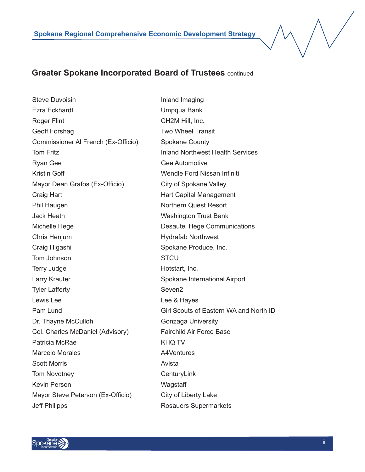#### **Greater Spokane Incorporated Board of Trustees** continued

Steve Duvoisin **Inland Imaging** Ezra Eckhardt Umpqua Bank Roger Flint **CH2M Hill**, Inc. Geoff Forshag Two Wheel Transit Commissioner Al French (Ex-Officio) Spokane County Tom Fritz **Inland Northwest Health Services** Ryan Gee **Gee Automotive** Gee Automotive Kristin Goff Wendle Ford Nissan Infiniti Mayor Dean Grafos (Ex-Officio) City of Spokane Valley Craig Hart **Craig Hart Capital Management** Phil Haugen Northern Quest Resort Jack Heath Washington Trust Bank Michelle Hege **Desautel Hege Communications** Chris Henjum **Hydrafab Northwest** Craig Higashi Spokane Produce, Inc. Tom Johnson STCU Terry Judge **Hotstart**, Inc. Larry Krauter **Spokane International Airport** Spokane International Airport Tyler Lafferty Seven2 Lewis Lee **Lee & Hayes** Dr. Thayne McCulloh Gonzaga University Col. Charles McDaniel (Advisory) Fairchild Air Force Base Patricia McRae KHO TV Marcelo Morales **A4Ventures** Scott Morris **Avista** Avista Tom Novotney **CenturyLink** Kevin Person Wagstaff Mayor Steve Peterson (Ex-Officio) City of Liberty Lake Jeff Philipps **Rosauers** Supermarkets

Pam Lund Girl Scouts of Eastern WA and North ID

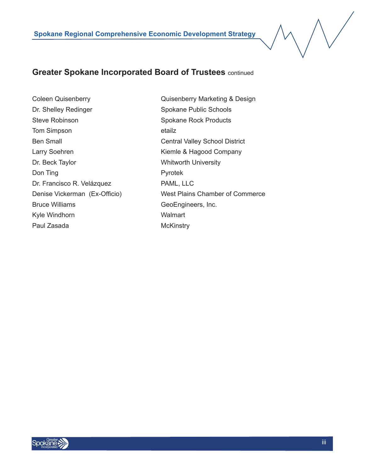### **Greater Spokane Incorporated Board of Trustees** continued

Dr. Shelley Redinger Spokane Public Schools Steve Robinson Spokane Rock Products Tom Simpson etailz Ben Small Central Valley School District Larry Soehren Kiemle & Hagood Company Dr. Beck Taylor Whitworth University Don Ting Pyrotek Dr. Francisco R. Velázquez PAML, LLC Bruce Williams GeoEngineers, Inc. Kyle Windhorn Walmart Paul Zasada McKinstry

Coleen Quisenberry Quisenberry Marketing & Design Denise Vickerman (Ex-Officio) West Plains Chamber of Commerce

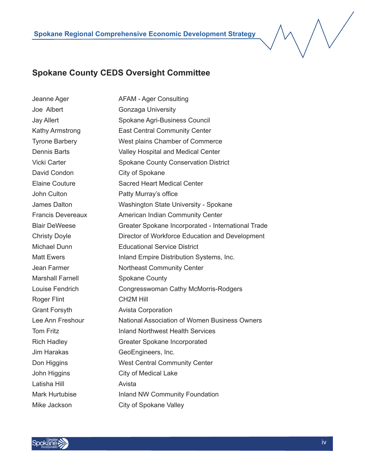### **Spokane County CEDS Oversight Committee**

Jeanne Ager **AFAM - Ager Consulting** Joe Albert **Gonzaga University** Jay Allert Spokane Agri-Business Council Kathy Armstrong East Central Community Center Tyrone Barbery West plains Chamber of Commerce Dennis Barts Valley Hospital and Medical Center Vicki Carter Spokane County Conservation District David Condon City of Spokane Elaine Couture Sacred Heart Medical Center John Culton **Patty Murray's office** James Dalton Washington State University - Spokane Francis Devereaux American Indian Community Center Blair DeWeese Greater Spokane Incorporated - International Trade Christy Doyle Director of Workforce Education and Development Michael Dunn Educational Service District Matt Ewers **Inland Empire Distribution Systems**, Inc. Jean Farmer Northeast Community Center Marshall Farnell Spokane County Louise Fendrich Congresswoman Cathy McMorris-Rodgers Roger Flint CH2M Hill Grant Forsyth **Avista Corporation** Lee Ann Freshour National Association of Women Business Owners Tom Fritz **Inland Northwest Health Services** Rich Hadley Greater Spokane Incorporated Jim Harakas GeoEngineers, Inc. Don Higgins West Central Community Center John Higgins City of Medical Lake Latisha Hill **Avista** Mark Hurtubise **Inland NW Community Foundation** Mike Jackson City of Spokane Valley

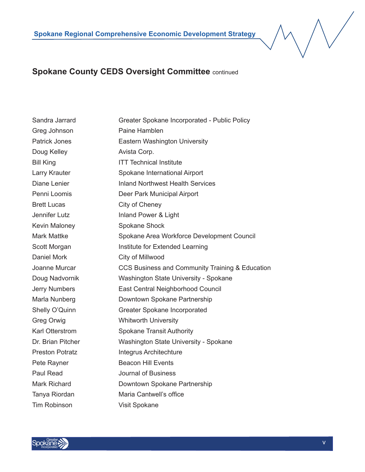## **Spokane County CEDS Oversight Committee** continued

Sandra Jarrard Greater Spokane Incorporated - Public Policy Greg Johnson Paine Hamblen Patrick Jones **Eastern Washington University** Doug Kelley **Avista Corp.** Bill King **ITT** Technical Institute Larry Krauter **Spokane International Airport** Diane Lenier **Inland Northwest Health Services** Penni Loomis **Deer Park Municipal Airport** Brett Lucas City of Cheney Jennifer Lutz **Inland Power & Light** Kevin Maloney Spokane Shock Mark Mattke Spokane Area Workforce Development Council Scott Morgan **Institute for Extended Learning** Daniel Mork City of Millwood Joanne Murcar CCS Business and Community Training & Education Doug Nadvornik Washington State University - Spokane Jerry Numbers East Central Neighborhood Council Marla Nunberg Downtown Spokane Partnership Shelly O'Quinn Greater Spokane Incorporated Greg Orwig **Whitworth University** Karl Otterstrom Spokane Transit Authority Dr. Brian Pitcher Washington State University - Spokane Preston Potratz **Integrus Architechture** Pete Rayner **Beacon Hill Events** Paul Read Journal of Business Mark Richard Downtown Spokane Partnership Tanya Riordan Maria Cantwell's office Tim Robinson Visit Spokane